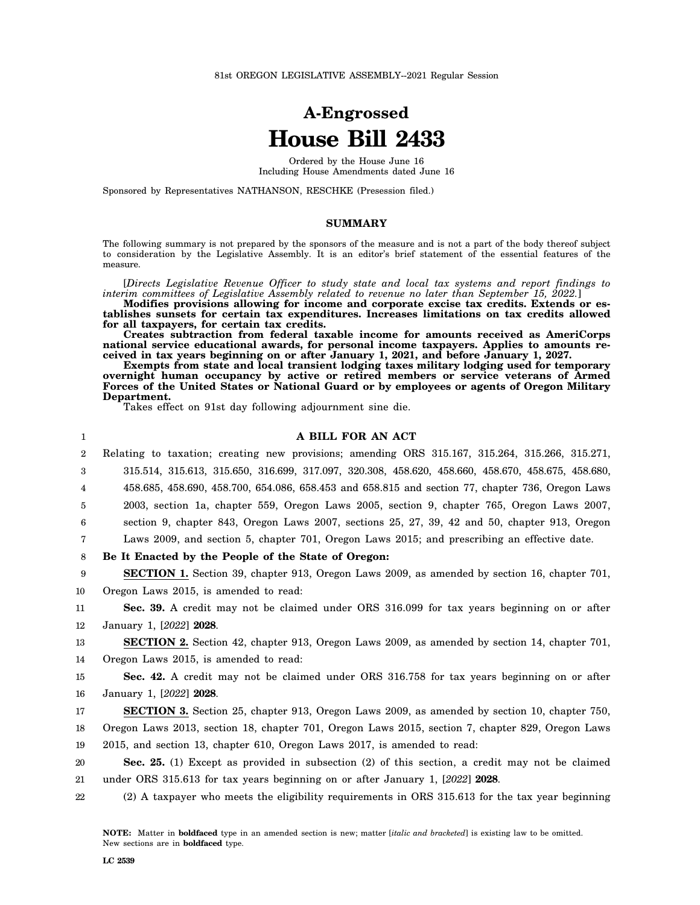# **A-Engrossed House Bill 2433**

Ordered by the House June 16 Including House Amendments dated June 16

Sponsored by Representatives NATHANSON, RESCHKE (Presession filed.)

#### **SUMMARY**

The following summary is not prepared by the sponsors of the measure and is not a part of the body thereof subject to consideration by the Legislative Assembly. It is an editor's brief statement of the essential features of the measure.

[*Directs Legislative Revenue Officer to study state and local tax systems and report findings to interim committees of Legislative Assembly related to revenue no later than September 15, 2022.*]

**Modifies provisions allowing for income and corporate excise tax credits. Extends or establishes sunsets for certain tax expenditures. Increases limitations on tax credits allowed for all taxpayers, for certain tax credits.**

**Creates subtraction from federal taxable income for amounts received as AmeriCorps national service educational awards, for personal income taxpayers. Applies to amounts received in tax years beginning on or after January 1, 2021, and before January 1, 2027.**

**Exempts from state and local transient lodging taxes military lodging used for temporary overnight human occupancy by active or retired members or service veterans of Armed Forces of the United States or National Guard or by employees or agents of Oregon Military Department.**

Takes effect on 91st day following adjournment sine die.

| $\mathbf{1}$   | A BILL FOR AN ACT                                                                                   |
|----------------|-----------------------------------------------------------------------------------------------------|
| $\overline{2}$ | Relating to taxation; creating new provisions; amending ORS 315.167, 315.264, 315.266, 315.271,     |
| 3              | 315.514, 315.613, 315.650, 316.699, 317.097, 320.308, 458.620, 458.660, 458.670, 458.675, 458.680,  |
| 4              | 458.685, 458.690, 458.700, 654.086, 658.453 and 658.815 and section 77, chapter 736, Oregon Laws    |
| 5              | 2003, section 1a, chapter 559, Oregon Laws 2005, section 9, chapter 765, Oregon Laws 2007,          |
| 6              | section 9, chapter 843, Oregon Laws 2007, sections 25, 27, 39, 42 and 50, chapter 913, Oregon       |
| 7              | Laws 2009, and section 5, chapter 701, Oregon Laws 2015; and prescribing an effective date.         |
| 8              | Be It Enacted by the People of the State of Oregon:                                                 |
| 9              | <b>SECTION 1.</b> Section 39, chapter 913, Oregon Laws 2009, as amended by section 16, chapter 701, |
| 10             | Oregon Laws 2015, is amended to read:                                                               |
| 11             | Sec. 39. A credit may not be claimed under ORS 316.099 for tax years beginning on or after          |
| $12\,$         | January 1, [2022] 2028.                                                                             |
| 13             | <b>SECTION 2.</b> Section 42, chapter 913, Oregon Laws 2009, as amended by section 14, chapter 701, |
| 14             | Oregon Laws 2015, is amended to read:                                                               |
| 15             | <b>Sec. 42.</b> A credit may not be claimed under ORS 316.758 for tax years beginning on or after   |
| 16             | January 1, [2022] 2028.                                                                             |
| 17             | <b>SECTION 3.</b> Section 25, chapter 913, Oregon Laws 2009, as amended by section 10, chapter 750, |
| 18             | Oregon Laws 2013, section 18, chapter 701, Oregon Laws 2015, section 7, chapter 829, Oregon Laws    |
| 19             | 2015, and section 13, chapter 610, Oregon Laws 2017, is amended to read:                            |
| 20             | Sec. 25. (1) Except as provided in subsection (2) of this section, a credit may not be claimed      |
| 21             | under ORS 315.613 for tax years beginning on or after January 1, $[2022]$ 2028.                     |
| 22             | (2) A taxpayer who meets the eligibility requirements in ORS 315.613 for the tax year beginning     |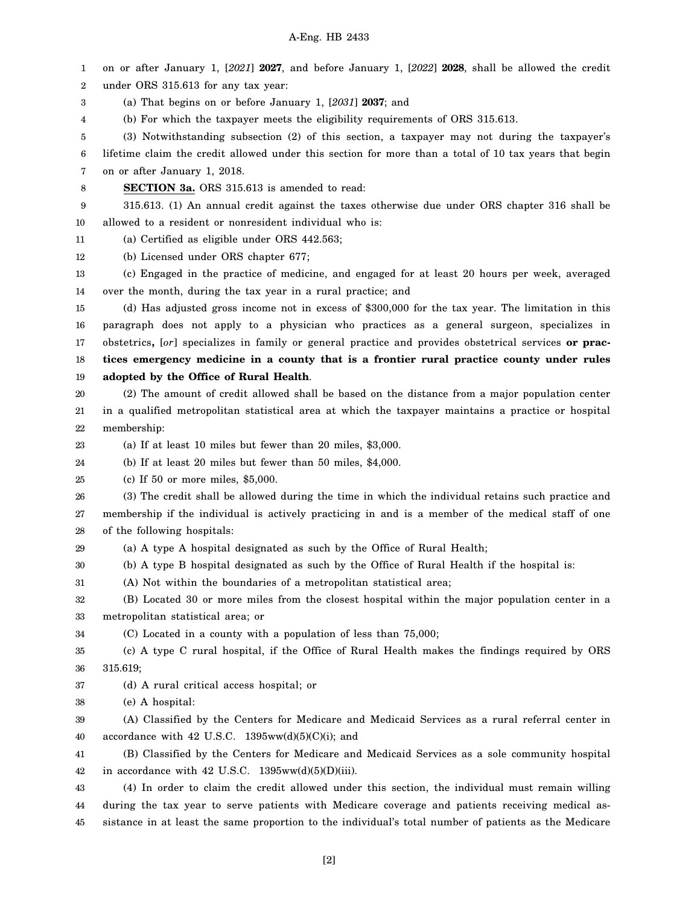1 2 3 4 5 6 7 8 9 10 11 12 13 14 15 16 17 18 19 20 21 22 23 24 25 26 27 28 29 30 31 32 33 34 35 36 37 38 39 40 41 42 43 44 on or after January 1, [*2021*] **2027**, and before January 1, [*2022*] **2028**, shall be allowed the credit under ORS 315.613 for any tax year: (a) That begins on or before January 1, [*2031*] **2037**; and (b) For which the taxpayer meets the eligibility requirements of ORS 315.613. (3) Notwithstanding subsection (2) of this section, a taxpayer may not during the taxpayer's lifetime claim the credit allowed under this section for more than a total of 10 tax years that begin on or after January 1, 2018. **SECTION 3a.** ORS 315.613 is amended to read: 315.613. (1) An annual credit against the taxes otherwise due under ORS chapter 316 shall be allowed to a resident or nonresident individual who is: (a) Certified as eligible under ORS 442.563; (b) Licensed under ORS chapter 677; (c) Engaged in the practice of medicine, and engaged for at least 20 hours per week, averaged over the month, during the tax year in a rural practice; and (d) Has adjusted gross income not in excess of \$300,000 for the tax year. The limitation in this paragraph does not apply to a physician who practices as a general surgeon, specializes in obstetrics**,** [*or*] specializes in family or general practice and provides obstetrical services **or practices emergency medicine in a county that is a frontier rural practice county under rules adopted by the Office of Rural Health**. (2) The amount of credit allowed shall be based on the distance from a major population center in a qualified metropolitan statistical area at which the taxpayer maintains a practice or hospital membership: (a) If at least 10 miles but fewer than 20 miles, \$3,000. (b) If at least 20 miles but fewer than 50 miles, \$4,000. (c) If 50 or more miles, \$5,000. (3) The credit shall be allowed during the time in which the individual retains such practice and membership if the individual is actively practicing in and is a member of the medical staff of one of the following hospitals: (a) A type A hospital designated as such by the Office of Rural Health; (b) A type B hospital designated as such by the Office of Rural Health if the hospital is: (A) Not within the boundaries of a metropolitan statistical area; (B) Located 30 or more miles from the closest hospital within the major population center in a metropolitan statistical area; or (C) Located in a county with a population of less than 75,000; (c) A type C rural hospital, if the Office of Rural Health makes the findings required by ORS 315.619; (d) A rural critical access hospital; or (e) A hospital: (A) Classified by the Centers for Medicare and Medicaid Services as a rural referral center in accordance with 42 U.S.C.  $1395ww(d)(5)(C)(i)$ ; and (B) Classified by the Centers for Medicare and Medicaid Services as a sole community hospital in accordance with 42 U.S.C. 1395ww(d)(5)(D)(iii). (4) In order to claim the credit allowed under this section, the individual must remain willing during the tax year to serve patients with Medicare coverage and patients receiving medical as-

45 sistance in at least the same proportion to the individual's total number of patients as the Medicare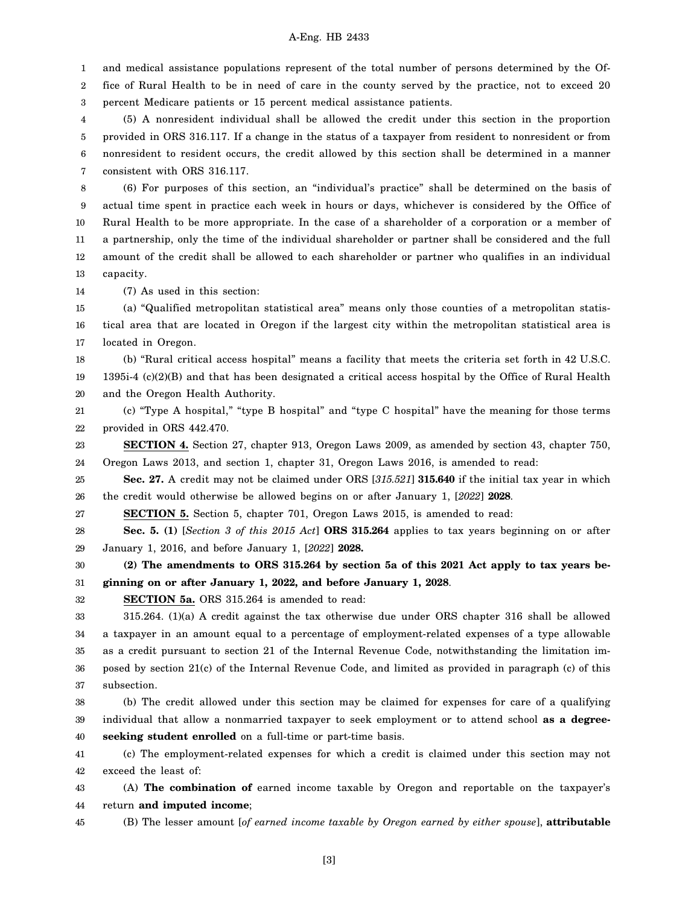1 2 and medical assistance populations represent of the total number of persons determined by the Office of Rural Health to be in need of care in the county served by the practice, not to exceed 20

3 percent Medicare patients or 15 percent medical assistance patients.

4 5 6 7 (5) A nonresident individual shall be allowed the credit under this section in the proportion provided in ORS 316.117. If a change in the status of a taxpayer from resident to nonresident or from nonresident to resident occurs, the credit allowed by this section shall be determined in a manner consistent with ORS 316.117.

8 9 10 11 12 13 (6) For purposes of this section, an "individual's practice" shall be determined on the basis of actual time spent in practice each week in hours or days, whichever is considered by the Office of Rural Health to be more appropriate. In the case of a shareholder of a corporation or a member of a partnership, only the time of the individual shareholder or partner shall be considered and the full amount of the credit shall be allowed to each shareholder or partner who qualifies in an individual capacity.

14 (7) As used in this section:

15 16 17 (a) "Qualified metropolitan statistical area" means only those counties of a metropolitan statistical area that are located in Oregon if the largest city within the metropolitan statistical area is located in Oregon.

18 (b) "Rural critical access hospital" means a facility that meets the criteria set forth in 42 U.S.C.

19 20 1395i-4 (c)(2)(B) and that has been designated a critical access hospital by the Office of Rural Health and the Oregon Health Authority.

21 22 (c) "Type A hospital," "type B hospital" and "type C hospital" have the meaning for those terms provided in ORS 442.470.

23 24 **SECTION 4.** Section 27, chapter 913, Oregon Laws 2009, as amended by section 43, chapter 750, Oregon Laws 2013, and section 1, chapter 31, Oregon Laws 2016, is amended to read:

25 26 **Sec. 27.** A credit may not be claimed under ORS [*315.521*] **315.640** if the initial tax year in which the credit would otherwise be allowed begins on or after January 1, [*2022*] **2028**.

27 **SECTION 5.** Section 5, chapter 701, Oregon Laws 2015, is amended to read:

28 29 **Sec. 5. (1)** [*Section 3 of this 2015 Act*] **ORS 315.264** applies to tax years beginning on or after January 1, 2016, and before January 1, [*2022*] **2028.**

30 31 **(2) The amendments to ORS 315.264 by section 5a of this 2021 Act apply to tax years beginning on or after January 1, 2022, and before January 1, 2028**.

32

**SECTION 5a.** ORS 315.264 is amended to read:

33 34 35 36 37 315.264. (1)(a) A credit against the tax otherwise due under ORS chapter 316 shall be allowed a taxpayer in an amount equal to a percentage of employment-related expenses of a type allowable as a credit pursuant to section 21 of the Internal Revenue Code, notwithstanding the limitation imposed by section 21(c) of the Internal Revenue Code, and limited as provided in paragraph (c) of this subsection.

38 39 40 (b) The credit allowed under this section may be claimed for expenses for care of a qualifying individual that allow a nonmarried taxpayer to seek employment or to attend school **as a degreeseeking student enrolled** on a full-time or part-time basis.

41 42 (c) The employment-related expenses for which a credit is claimed under this section may not exceed the least of:

43 44 (A) **The combination of** earned income taxable by Oregon and reportable on the taxpayer's return **and imputed income**;

(B) The lesser amount [*of earned income taxable by Oregon earned by either spouse*], **attributable**

45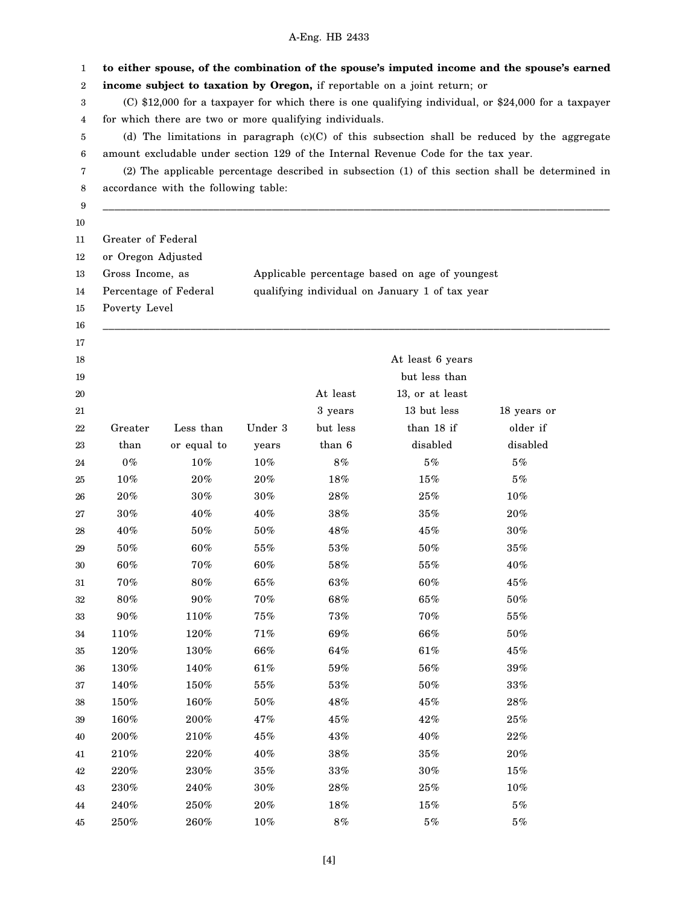#### 1 2 3 4 5 6 7 8 9 10 11 12 13 14 15 16 17 18 19 20 21 22 23 24 25 26 27 28 29 30 31 32 33 34 35 36 37 38 39 40 41 42 43 44 45 **to either spouse, of the combination of the spouse's imputed income and the spouse's earned income subject to taxation by Oregon,** if reportable on a joint return; or (C) \$12,000 for a taxpayer for which there is one qualifying individual, or \$24,000 for a taxpayer for which there are two or more qualifying individuals. (d) The limitations in paragraph (c)(C) of this subsection shall be reduced by the aggregate amount excludable under section 129 of the Internal Revenue Code for the tax year. (2) The applicable percentage described in subsection (1) of this section shall be determined in accordance with the following table: \_\_\_\_\_\_\_\_\_\_\_\_\_\_\_\_\_\_\_\_\_\_\_\_\_\_\_\_\_\_\_\_\_\_\_\_\_\_\_\_\_\_\_\_\_\_\_\_\_\_\_\_\_\_\_\_\_\_\_\_\_\_\_\_\_\_\_\_\_\_\_\_\_\_\_\_\_\_\_\_\_\_\_\_\_\_\_ Greater of Federal or Oregon Adjusted Gross Income, as Applicable percentage based on age of youngest Percentage of Federal qualifying individual on January 1 of tax year Poverty Level \_\_\_\_\_\_\_\_\_\_\_\_\_\_\_\_\_\_\_\_\_\_\_\_\_\_\_\_\_\_\_\_\_\_\_\_\_\_\_\_\_\_\_\_\_\_\_\_\_\_\_\_\_\_\_\_\_\_\_\_\_\_\_\_\_\_\_\_\_\_\_\_\_\_\_\_\_\_\_\_\_\_\_\_\_\_\_ At least 6 years but less than At least 13, or at least 3 years 13 but less 18 years or Greater Less than Under 3 but less than 18 if older if than or equal to years than 6 disabled disabled  $0\%$   $10\%$   $10\%$   $8\%$   $5\%$   $5\%$  $10\%$   $20\%$   $20\%$   $18\%$   $15\%$   $5\%$  $20\% \hspace{1.5cm} 30\% \hspace{1.5cm} 28\% \hspace{1.5cm} 25\% \hspace{1.5cm} 10\%$  $30\%$   $40\%$   $40\%$   $38\%$   $35\%$   $20\%$  $40\% \hspace{1.5cm} 50\% \hspace{1.5cm} 48\% \hspace{1.5cm} 45\% \hspace{1.5cm} 30\%$  $50\%$  60%  $55\%$  53%  $50\%$  35%  $60\%$   $70\%$   $60\%$   $58\%$   $55\%$   $40\%$  $70\%$  80% 65% 63% 60% 45%  $80\%$   $90\%$   $70\%$   $68\%$   $65\%$   $50\%$  $90\% \hspace{1.5cm} 110\% \hspace{1.5cm} 75\% \hspace{1.5cm} 73\% \hspace{1.5cm} 70\% \hspace{1.5cm} 55\%$  $110\%$   $120\%$   $71\%$   $69\%$   $66\%$   $50\%$  $120\%$   $130\%$   $66\%$   $64\%$   $61\%$   $13\%$  $130\% \hspace{1.5cm} 140\% \hspace{1.5cm} 61\% \hspace{1.5cm} 59\% \hspace{1.5cm} 56\% \hspace{1.5cm} 39\%$  $140\%$   $150\%$   $55\%$   $53\%$   $50\%$   $33\%$  $150\% \hspace{1.5cm} 160\% \hspace{1.5cm} 50\% \hspace{1.5cm} 48\% \hspace{1.5cm} 45\% \hspace{1.5cm} 28\%$  $160\%$   $200\%$   $47\%$   $45\%$   $42\%$   $25\%$  $200\% \hspace{1.5cm} 210\% \hspace{1.5cm} 45\% \hspace{1.5cm} 43\% \hspace{1.5cm} 40\% \hspace{1.5cm} 22\%$  $210\%$   $220\%$   $40\%$   $38\%$   $35\%$   $20\%$  $220\%$   $230\%$   $35\%$   $33\%$   $30\%$   $15\%$  $230\% \hspace{1.5cm} 240\% \hspace{1.5cm} 30\% \hspace{1.5cm} 28\% \hspace{1.5cm} 25\% \hspace{1.5cm} 10\%$  $240\% \hspace{1.5cm} 250\% \hspace{1.5cm} 18\% \hspace{1.5cm} 15\% \hspace{1.5cm} 5\%$  $250\%$   $260\%$   $10\%$   $8\%$   $5\%$   $5\%$

### A-Eng. HB 2433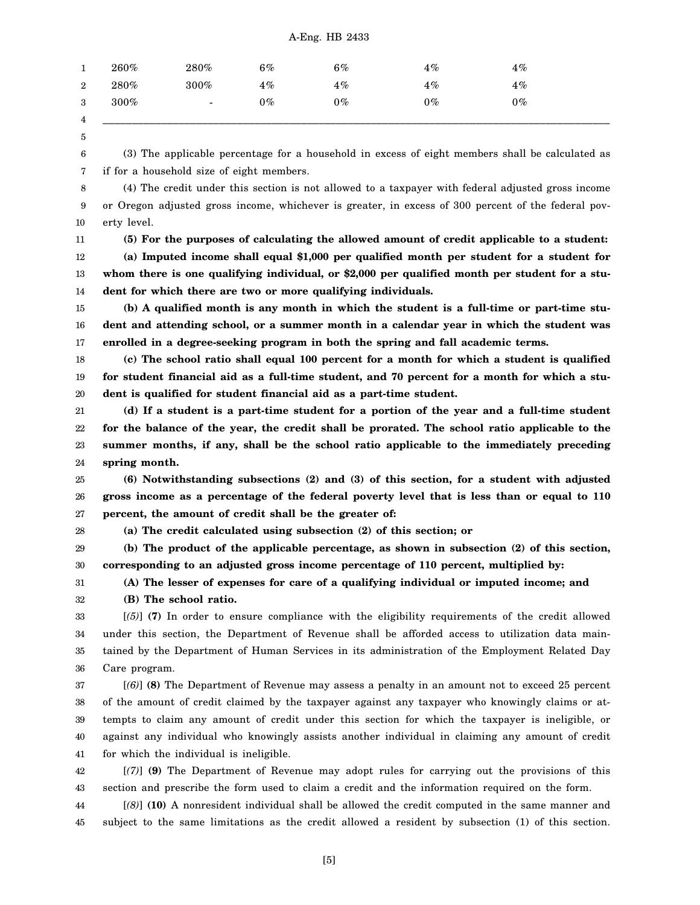| 1                | 260%    | 280%                     | $6\%$ | $6\%$ | $4\%$ | $4\%$ |
|------------------|---------|--------------------------|-------|-------|-------|-------|
| $\boldsymbol{2}$ | $280\%$ | $300\%$                  | $4\%$ | $4\%$ | $4\%$ | $4\%$ |
| 3                | $300\%$ | $\overline{\phantom{a}}$ | $0\%$ | $0\%$ | $0\%$ | $0\%$ |
| 4                |         |                          |       |       |       |       |

5

6 7

(3) The applicable percentage for a household in excess of eight members shall be calculated as if for a household size of eight members.

8 9 10 (4) The credit under this section is not allowed to a taxpayer with federal adjusted gross income or Oregon adjusted gross income, whichever is greater, in excess of 300 percent of the federal poverty level.

11

12 13 14 **(5) For the purposes of calculating the allowed amount of credit applicable to a student: (a) Imputed income shall equal \$1,000 per qualified month per student for a student for whom there is one qualifying individual, or \$2,000 per qualified month per student for a student for which there are two or more qualifying individuals.**

15 16 17 **(b) A qualified month is any month in which the student is a full-time or part-time student and attending school, or a summer month in a calendar year in which the student was enrolled in a degree-seeking program in both the spring and fall academic terms.**

18 19 20 **(c) The school ratio shall equal 100 percent for a month for which a student is qualified for student financial aid as a full-time student, and 70 percent for a month for which a student is qualified for student financial aid as a part-time student.**

21 22 23 24 **(d) If a student is a part-time student for a portion of the year and a full-time student for the balance of the year, the credit shall be prorated. The school ratio applicable to the summer months, if any, shall be the school ratio applicable to the immediately preceding spring month.**

25 26 27 **(6) Notwithstanding subsections (2) and (3) of this section, for a student with adjusted gross income as a percentage of the federal poverty level that is less than or equal to 110 percent, the amount of credit shall be the greater of:**

28 **(a) The credit calculated using subsection (2) of this section; or**

29 30 **(b) The product of the applicable percentage, as shown in subsection (2) of this section, corresponding to an adjusted gross income percentage of 110 percent, multiplied by:**

31 **(A) The lesser of expenses for care of a qualifying individual or imputed income; and**

32 **(B) The school ratio.**

33 34 35 36 [*(5)*] **(7)** In order to ensure compliance with the eligibility requirements of the credit allowed under this section, the Department of Revenue shall be afforded access to utilization data maintained by the Department of Human Services in its administration of the Employment Related Day Care program.

37 38 39 40 41 [*(6)*] **(8)** The Department of Revenue may assess a penalty in an amount not to exceed 25 percent of the amount of credit claimed by the taxpayer against any taxpayer who knowingly claims or attempts to claim any amount of credit under this section for which the taxpayer is ineligible, or against any individual who knowingly assists another individual in claiming any amount of credit for which the individual is ineligible.

42 43 [*(7)*] **(9)** The Department of Revenue may adopt rules for carrying out the provisions of this section and prescribe the form used to claim a credit and the information required on the form.

44 45 [*(8)*] **(10)** A nonresident individual shall be allowed the credit computed in the same manner and subject to the same limitations as the credit allowed a resident by subsection (1) of this section.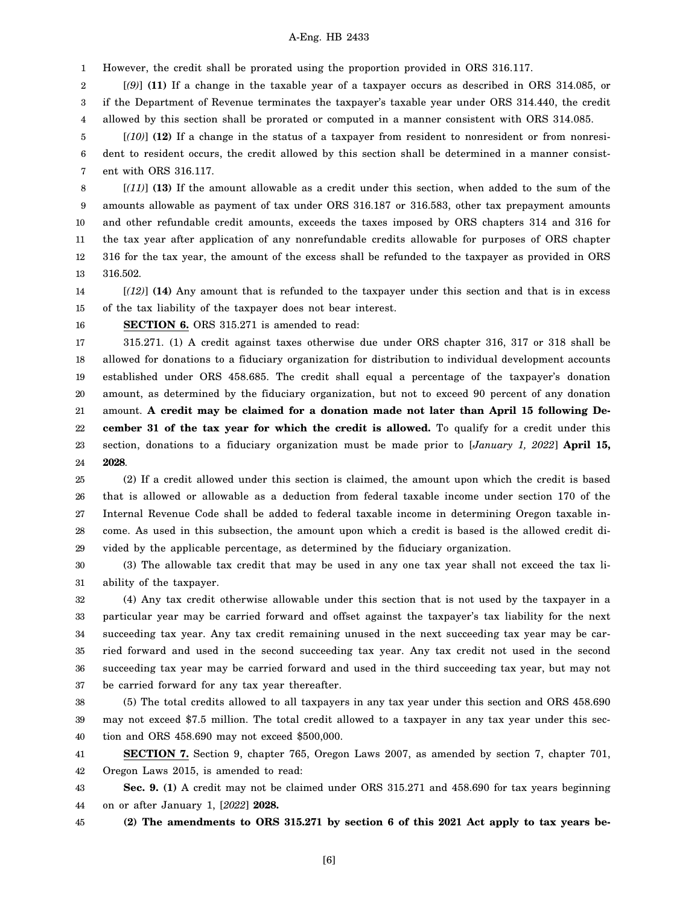1 However, the credit shall be prorated using the proportion provided in ORS 316.117.

2 3 4 [*(9)*] **(11)** If a change in the taxable year of a taxpayer occurs as described in ORS 314.085, or if the Department of Revenue terminates the taxpayer's taxable year under ORS 314.440, the credit allowed by this section shall be prorated or computed in a manner consistent with ORS 314.085.

5 6 7 [*(10)*] **(12)** If a change in the status of a taxpayer from resident to nonresident or from nonresident to resident occurs, the credit allowed by this section shall be determined in a manner consistent with ORS 316.117.

8 9 10 11 12 13 [*(11)*] **(13)** If the amount allowable as a credit under this section, when added to the sum of the amounts allowable as payment of tax under ORS 316.187 or 316.583, other tax prepayment amounts and other refundable credit amounts, exceeds the taxes imposed by ORS chapters 314 and 316 for the tax year after application of any nonrefundable credits allowable for purposes of ORS chapter 316 for the tax year, the amount of the excess shall be refunded to the taxpayer as provided in ORS 316.502.

14 15 [*(12)*] **(14)** Any amount that is refunded to the taxpayer under this section and that is in excess of the tax liability of the taxpayer does not bear interest.

16

**SECTION 6.** ORS 315.271 is amended to read:

17 18 19 20 21 22 23 24 315.271. (1) A credit against taxes otherwise due under ORS chapter 316, 317 or 318 shall be allowed for donations to a fiduciary organization for distribution to individual development accounts established under ORS 458.685. The credit shall equal a percentage of the taxpayer's donation amount, as determined by the fiduciary organization, but not to exceed 90 percent of any donation amount. **A credit may be claimed for a donation made not later than April 15 following December 31 of the tax year for which the credit is allowed.** To qualify for a credit under this section, donations to a fiduciary organization must be made prior to [*January 1, 2022*] **April 15, 2028**.

25 26 27 28 29 (2) If a credit allowed under this section is claimed, the amount upon which the credit is based that is allowed or allowable as a deduction from federal taxable income under section 170 of the Internal Revenue Code shall be added to federal taxable income in determining Oregon taxable income. As used in this subsection, the amount upon which a credit is based is the allowed credit divided by the applicable percentage, as determined by the fiduciary organization.

30 31 (3) The allowable tax credit that may be used in any one tax year shall not exceed the tax liability of the taxpayer.

32 33 34 35 36 37 (4) Any tax credit otherwise allowable under this section that is not used by the taxpayer in a particular year may be carried forward and offset against the taxpayer's tax liability for the next succeeding tax year. Any tax credit remaining unused in the next succeeding tax year may be carried forward and used in the second succeeding tax year. Any tax credit not used in the second succeeding tax year may be carried forward and used in the third succeeding tax year, but may not be carried forward for any tax year thereafter.

38 39 40 (5) The total credits allowed to all taxpayers in any tax year under this section and ORS 458.690 may not exceed \$7.5 million. The total credit allowed to a taxpayer in any tax year under this section and ORS 458.690 may not exceed \$500,000.

41 42 **SECTION 7.** Section 9, chapter 765, Oregon Laws 2007, as amended by section 7, chapter 701, Oregon Laws 2015, is amended to read:

43 44 **Sec. 9. (1)** A credit may not be claimed under ORS 315.271 and 458.690 for tax years beginning on or after January 1, [*2022*] **2028.**

45

**(2) The amendments to ORS 315.271 by section 6 of this 2021 Act apply to tax years be-**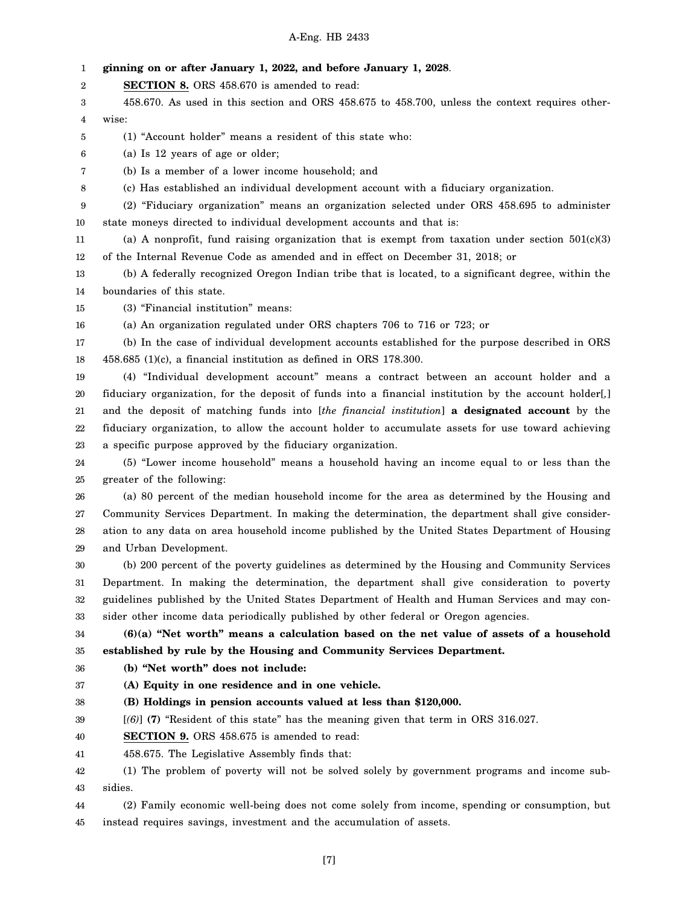| 1  | ginning on or after January 1, 2022, and before January 1, 2028.                                       |
|----|--------------------------------------------------------------------------------------------------------|
| 2  | <b>SECTION 8.</b> ORS 458.670 is amended to read:                                                      |
| 3  | 458.670. As used in this section and ORS 458.675 to 458.700, unless the context requires other-        |
| 4  | wise:                                                                                                  |
| 5  | (1) "Account holder" means a resident of this state who:                                               |
| 6  | (a) Is 12 years of age or older;                                                                       |
| 7  | (b) Is a member of a lower income household; and                                                       |
| 8  | (c) Has established an individual development account with a fiduciary organization.                   |
| 9  | (2) "Fiduciary organization" means an organization selected under ORS 458.695 to administer            |
| 10 | state moneys directed to individual development accounts and that is:                                  |
| 11 | (a) A nonprofit, fund raising organization that is exempt from taxation under section $501(c)(3)$      |
| 12 | of the Internal Revenue Code as amended and in effect on December 31, 2018; or                         |
| 13 | (b) A federally recognized Oregon Indian tribe that is located, to a significant degree, within the    |
| 14 | boundaries of this state.                                                                              |
| 15 | (3) "Financial institution" means:                                                                     |
| 16 | (a) An organization regulated under ORS chapters 706 to 716 or 723; or                                 |
| 17 | (b) In the case of individual development accounts established for the purpose described in ORS        |
| 18 | 458.685 (1)(c), a financial institution as defined in ORS 178.300.                                     |
| 19 | (4) "Individual development account" means a contract between an account holder and a                  |
| 20 | fiduciary organization, for the deposit of funds into a financial institution by the account holder[,] |
| 21 | and the deposit of matching funds into [the financial institution] a designated account by the         |
| 22 | fiduciary organization, to allow the account holder to accumulate assets for use toward achieving      |
| 23 | a specific purpose approved by the fiduciary organization.                                             |
| 24 | (5) "Lower income household" means a household having an income equal to or less than the              |
| 25 | greater of the following:                                                                              |
| 26 | (a) 80 percent of the median household income for the area as determined by the Housing and            |
| 27 | Community Services Department. In making the determination, the department shall give consider-        |
| 28 | ation to any data on area household income published by the United States Department of Housing        |
| 29 | and Urban Development.                                                                                 |
| 30 | (b) 200 percent of the poverty guidelines as determined by the Housing and Community Services          |
| 31 | Department. In making the determination, the department shall give consideration to poverty            |
| 32 | guidelines published by the United States Department of Health and Human Services and may con-         |
| 33 | sider other income data periodically published by other federal or Oregon agencies.                    |
| 34 | $(6)(a)$ "Net worth" means a calculation based on the net value of assets of a household               |
| 35 | established by rule by the Housing and Community Services Department.                                  |
| 36 | (b) "Net worth" does not include:                                                                      |
| 37 | (A) Equity in one residence and in one vehicle.                                                        |
| 38 | (B) Holdings in pension accounts valued at less than \$120,000.                                        |
| 39 | $[(6)]$ (7) "Resident of this state" has the meaning given that term in ORS 316.027.                   |
| 40 | SECTION 9. ORS 458.675 is amended to read:                                                             |
| 41 | 458.675. The Legislative Assembly finds that:                                                          |
| 42 | (1) The problem of poverty will not be solved solely by government programs and income sub-            |
| 43 | sidies.                                                                                                |
| 44 | (2) Family economic well-being does not come solely from income, spending or consumption, but          |
| 45 | instead requires savings, investment and the accumulation of assets.                                   |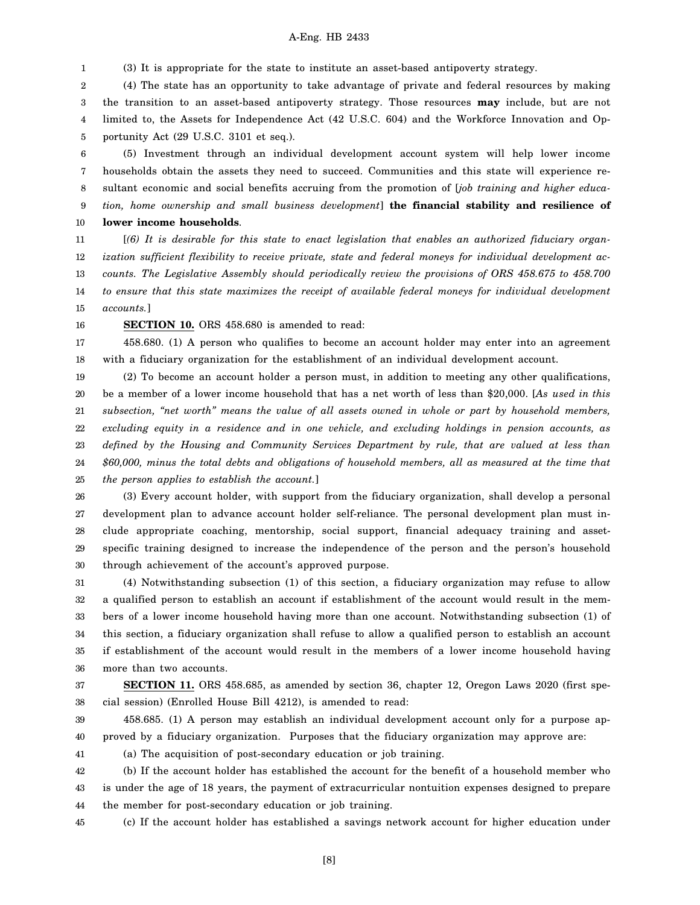1 (3) It is appropriate for the state to institute an asset-based antipoverty strategy.

2 3 4 5 (4) The state has an opportunity to take advantage of private and federal resources by making the transition to an asset-based antipoverty strategy. Those resources **may** include, but are not limited to, the Assets for Independence Act (42 U.S.C. 604) and the Workforce Innovation and Opportunity Act (29 U.S.C. 3101 et seq.).

6 7 8 9 10 (5) Investment through an individual development account system will help lower income households obtain the assets they need to succeed. Communities and this state will experience resultant economic and social benefits accruing from the promotion of [*job training and higher education, home ownership and small business development*] **the financial stability and resilience of lower income households**.

11 12 13 14 15 [*(6) It is desirable for this state to enact legislation that enables an authorized fiduciary organization sufficient flexibility to receive private, state and federal moneys for individual development accounts. The Legislative Assembly should periodically review the provisions of ORS 458.675 to 458.700 to ensure that this state maximizes the receipt of available federal moneys for individual development accounts.*]

16 **SECTION 10.** ORS 458.680 is amended to read:

17 18 458.680. (1) A person who qualifies to become an account holder may enter into an agreement with a fiduciary organization for the establishment of an individual development account.

19 20 21 22 23 24 25 (2) To become an account holder a person must, in addition to meeting any other qualifications, be a member of a lower income household that has a net worth of less than \$20,000. [*As used in this subsection, "net worth" means the value of all assets owned in whole or part by household members, excluding equity in a residence and in one vehicle, and excluding holdings in pension accounts, as defined by the Housing and Community Services Department by rule, that are valued at less than \$60,000, minus the total debts and obligations of household members, all as measured at the time that the person applies to establish the account.*]

26 27 28 29 30 (3) Every account holder, with support from the fiduciary organization, shall develop a personal development plan to advance account holder self-reliance. The personal development plan must include appropriate coaching, mentorship, social support, financial adequacy training and assetspecific training designed to increase the independence of the person and the person's household through achievement of the account's approved purpose.

31 32 33 34 35 36 (4) Notwithstanding subsection (1) of this section, a fiduciary organization may refuse to allow a qualified person to establish an account if establishment of the account would result in the members of a lower income household having more than one account. Notwithstanding subsection (1) of this section, a fiduciary organization shall refuse to allow a qualified person to establish an account if establishment of the account would result in the members of a lower income household having more than two accounts.

37 38 **SECTION 11.** ORS 458.685, as amended by section 36, chapter 12, Oregon Laws 2020 (first special session) (Enrolled House Bill 4212), is amended to read:

39 40 458.685. (1) A person may establish an individual development account only for a purpose approved by a fiduciary organization. Purposes that the fiduciary organization may approve are:

41

(a) The acquisition of post-secondary education or job training.

42 43 44 (b) If the account holder has established the account for the benefit of a household member who is under the age of 18 years, the payment of extracurricular nontuition expenses designed to prepare the member for post-secondary education or job training.

45 (c) If the account holder has established a savings network account for higher education under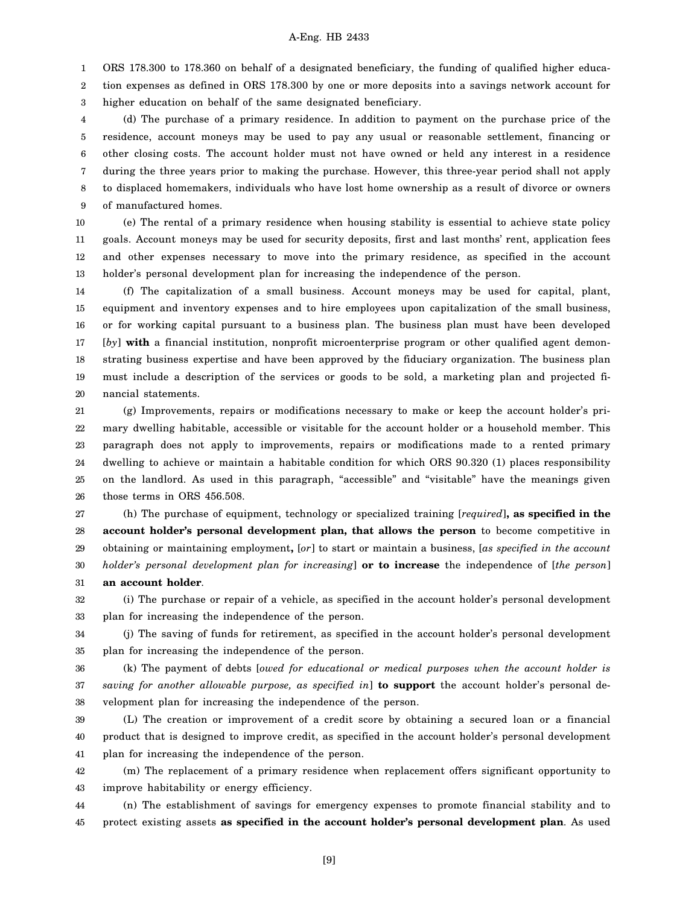1 ORS 178.300 to 178.360 on behalf of a designated beneficiary, the funding of qualified higher educa-

2 3 tion expenses as defined in ORS 178.300 by one or more deposits into a savings network account for higher education on behalf of the same designated beneficiary.

4 5 6 7 8 9 (d) The purchase of a primary residence. In addition to payment on the purchase price of the residence, account moneys may be used to pay any usual or reasonable settlement, financing or other closing costs. The account holder must not have owned or held any interest in a residence during the three years prior to making the purchase. However, this three-year period shall not apply to displaced homemakers, individuals who have lost home ownership as a result of divorce or owners of manufactured homes.

10 11 12 13 (e) The rental of a primary residence when housing stability is essential to achieve state policy goals. Account moneys may be used for security deposits, first and last months' rent, application fees and other expenses necessary to move into the primary residence, as specified in the account holder's personal development plan for increasing the independence of the person.

14 15 16 17 18 19 20 (f) The capitalization of a small business. Account moneys may be used for capital, plant, equipment and inventory expenses and to hire employees upon capitalization of the small business, or for working capital pursuant to a business plan. The business plan must have been developed [*by*] **with** a financial institution, nonprofit microenterprise program or other qualified agent demonstrating business expertise and have been approved by the fiduciary organization. The business plan must include a description of the services or goods to be sold, a marketing plan and projected financial statements.

21 22 23 24 25 26 (g) Improvements, repairs or modifications necessary to make or keep the account holder's primary dwelling habitable, accessible or visitable for the account holder or a household member. This paragraph does not apply to improvements, repairs or modifications made to a rented primary dwelling to achieve or maintain a habitable condition for which ORS 90.320 (1) places responsibility on the landlord. As used in this paragraph, "accessible" and "visitable" have the meanings given those terms in ORS 456.508.

27 28 29 30 31 (h) The purchase of equipment, technology or specialized training [*required*]**, as specified in the account holder's personal development plan, that allows the person** to become competitive in obtaining or maintaining employment**,** [*or*] to start or maintain a business, [*as specified in the account holder's personal development plan for increasing*] **or to increase** the independence of [*the person*] **an account holder**.

32 33 (i) The purchase or repair of a vehicle, as specified in the account holder's personal development plan for increasing the independence of the person.

34 35 (j) The saving of funds for retirement, as specified in the account holder's personal development plan for increasing the independence of the person.

36 37 38 (k) The payment of debts [*owed for educational or medical purposes when the account holder is saving for another allowable purpose, as specified in*] **to support** the account holder's personal development plan for increasing the independence of the person.

39 40 41 (L) The creation or improvement of a credit score by obtaining a secured loan or a financial product that is designed to improve credit, as specified in the account holder's personal development plan for increasing the independence of the person.

42 43 (m) The replacement of a primary residence when replacement offers significant opportunity to improve habitability or energy efficiency.

44 45 (n) The establishment of savings for emergency expenses to promote financial stability and to protect existing assets **as specified in the account holder's personal development plan**. As used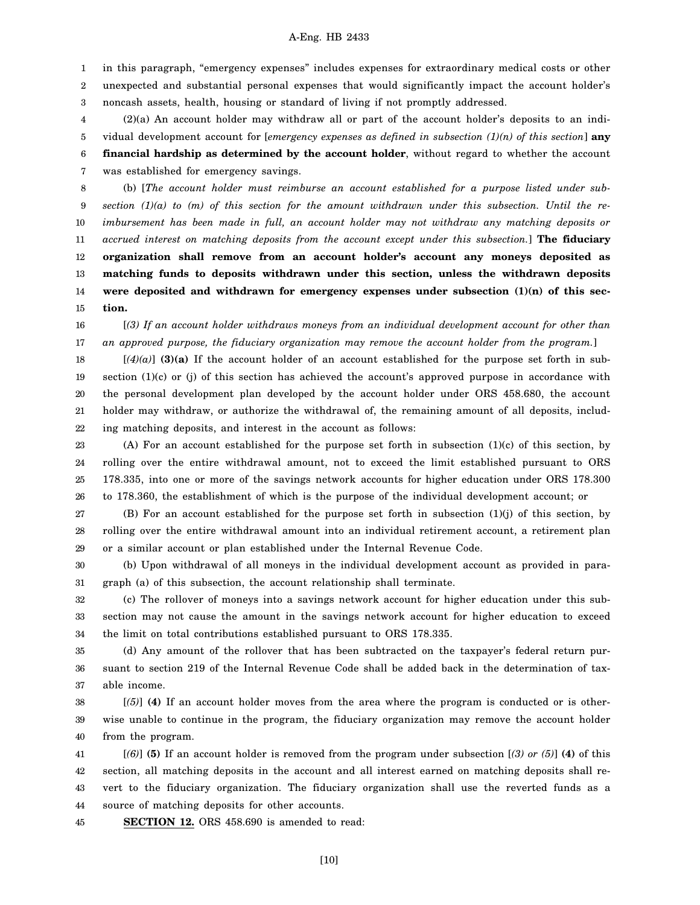1 2 3 in this paragraph, "emergency expenses" includes expenses for extraordinary medical costs or other unexpected and substantial personal expenses that would significantly impact the account holder's noncash assets, health, housing or standard of living if not promptly addressed.

4 5 6 7 (2)(a) An account holder may withdraw all or part of the account holder's deposits to an individual development account for [*emergency expenses as defined in subsection (1)(n) of this section*] **any financial hardship as determined by the account holder**, without regard to whether the account was established for emergency savings.

8 9 10 11 12 13 14 15 (b) [*The account holder must reimburse an account established for a purpose listed under subsection (1)(a) to (m) of this section for the amount withdrawn under this subsection. Until the reimbursement has been made in full, an account holder may not withdraw any matching deposits or accrued interest on matching deposits from the account except under this subsection.*] **The fiduciary organization shall remove from an account holder's account any moneys deposited as matching funds to deposits withdrawn under this section, unless the withdrawn deposits were deposited and withdrawn for emergency expenses under subsection (1)(n) of this section.**

16 17 [*(3) If an account holder withdraws moneys from an individual development account for other than an approved purpose, the fiduciary organization may remove the account holder from the program.*]

18 19 20 21 22  $[(4)(a)]$  **(3)(a)** If the account holder of an account established for the purpose set forth in subsection (1)(c) or (j) of this section has achieved the account's approved purpose in accordance with the personal development plan developed by the account holder under ORS 458.680, the account holder may withdraw, or authorize the withdrawal of, the remaining amount of all deposits, including matching deposits, and interest in the account as follows:

23 24 25 26 (A) For an account established for the purpose set forth in subsection (1)(c) of this section, by rolling over the entire withdrawal amount, not to exceed the limit established pursuant to ORS 178.335, into one or more of the savings network accounts for higher education under ORS 178.300 to 178.360, the establishment of which is the purpose of the individual development account; or

27 28 29 (B) For an account established for the purpose set forth in subsection (1)(j) of this section, by rolling over the entire withdrawal amount into an individual retirement account, a retirement plan or a similar account or plan established under the Internal Revenue Code.

30 31 (b) Upon withdrawal of all moneys in the individual development account as provided in paragraph (a) of this subsection, the account relationship shall terminate.

32 33 34 (c) The rollover of moneys into a savings network account for higher education under this subsection may not cause the amount in the savings network account for higher education to exceed the limit on total contributions established pursuant to ORS 178.335.

35 36 37 (d) Any amount of the rollover that has been subtracted on the taxpayer's federal return pursuant to section 219 of the Internal Revenue Code shall be added back in the determination of taxable income.

38 39 40 [*(5)*] **(4)** If an account holder moves from the area where the program is conducted or is otherwise unable to continue in the program, the fiduciary organization may remove the account holder from the program.

41 42 43 44 [*(6)*] **(5)** If an account holder is removed from the program under subsection [*(3) or (5)*] **(4)** of this section, all matching deposits in the account and all interest earned on matching deposits shall revert to the fiduciary organization. The fiduciary organization shall use the reverted funds as a source of matching deposits for other accounts.

45 **SECTION 12.** ORS 458.690 is amended to read:

[10]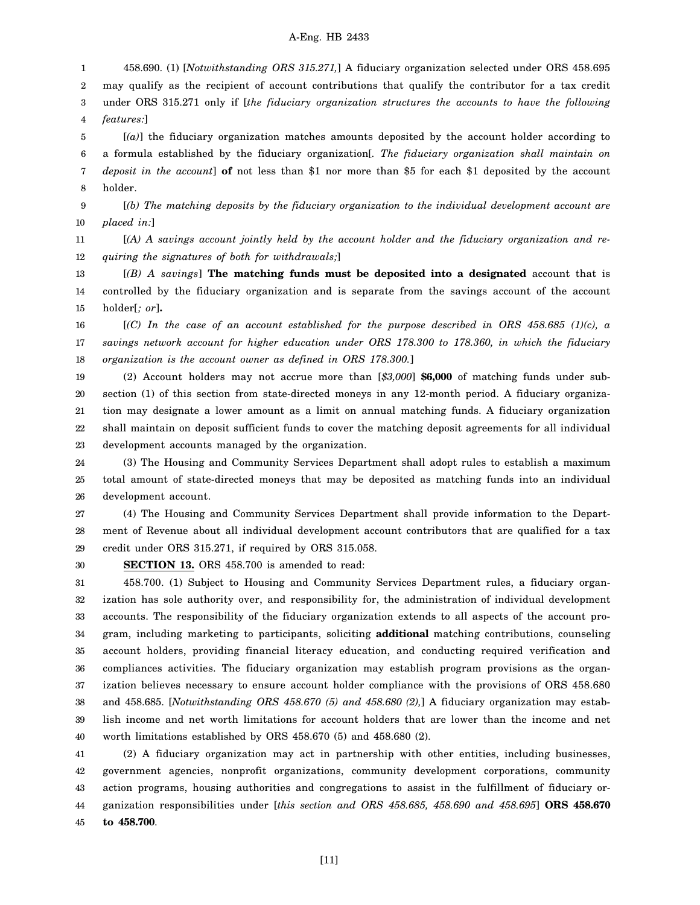1 2 3 4 458.690. (1) [*Notwithstanding ORS 315.271,*] A fiduciary organization selected under ORS 458.695 may qualify as the recipient of account contributions that qualify the contributor for a tax credit under ORS 315.271 only if [*the fiduciary organization structures the accounts to have the following features:*]

5 6 7 8 [*(a)*] the fiduciary organization matches amounts deposited by the account holder according to a formula established by the fiduciary organization[*. The fiduciary organization shall maintain on deposit in the account*] **of** not less than \$1 nor more than \$5 for each \$1 deposited by the account holder.

9 10 [*(b) The matching deposits by the fiduciary organization to the individual development account are placed in:*]

11 12 [*(A) A savings account jointly held by the account holder and the fiduciary organization and requiring the signatures of both for withdrawals;*]

13 14 15 [*(B) A savings*] **The matching funds must be deposited into a designated** account that is controlled by the fiduciary organization and is separate from the savings account of the account holder[*; or*]**.**

16 17 18 [*(C) In the case of an account established for the purpose described in ORS 458.685 (1)(c), a savings network account for higher education under ORS 178.300 to 178.360, in which the fiduciary organization is the account owner as defined in ORS 178.300.*]

19 20 21 22 23 (2) Account holders may not accrue more than [*\$3,000*] **\$6,000** of matching funds under subsection (1) of this section from state-directed moneys in any 12-month period. A fiduciary organization may designate a lower amount as a limit on annual matching funds. A fiduciary organization shall maintain on deposit sufficient funds to cover the matching deposit agreements for all individual development accounts managed by the organization.

24 25 26 (3) The Housing and Community Services Department shall adopt rules to establish a maximum total amount of state-directed moneys that may be deposited as matching funds into an individual development account.

27 28 29 (4) The Housing and Community Services Department shall provide information to the Department of Revenue about all individual development account contributors that are qualified for a tax credit under ORS 315.271, if required by ORS 315.058.

30 **SECTION 13.** ORS 458.700 is amended to read:

31 32 33 34 35 36 37 38 39 40 458.700. (1) Subject to Housing and Community Services Department rules, a fiduciary organization has sole authority over, and responsibility for, the administration of individual development accounts. The responsibility of the fiduciary organization extends to all aspects of the account program, including marketing to participants, soliciting **additional** matching contributions, counseling account holders, providing financial literacy education, and conducting required verification and compliances activities. The fiduciary organization may establish program provisions as the organization believes necessary to ensure account holder compliance with the provisions of ORS 458.680 and 458.685. [*Notwithstanding ORS 458.670 (5) and 458.680 (2),*] A fiduciary organization may establish income and net worth limitations for account holders that are lower than the income and net worth limitations established by ORS 458.670 (5) and 458.680 (2).

41 42 43 44 45 (2) A fiduciary organization may act in partnership with other entities, including businesses, government agencies, nonprofit organizations, community development corporations, community action programs, housing authorities and congregations to assist in the fulfillment of fiduciary organization responsibilities under [*this section and ORS 458.685, 458.690 and 458.695*] **ORS 458.670 to 458.700**.

[11]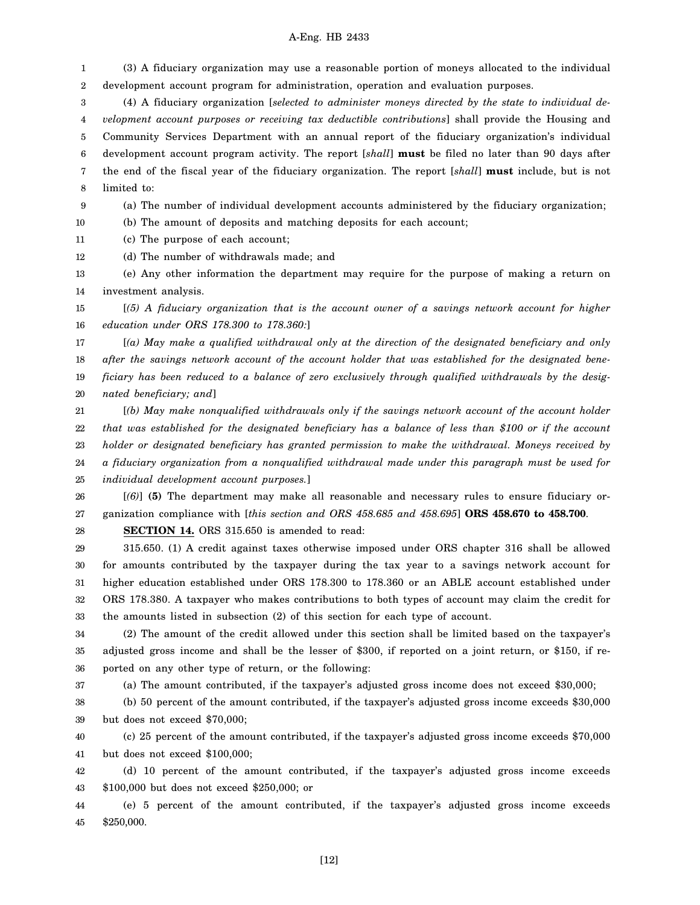1 2 (3) A fiduciary organization may use a reasonable portion of moneys allocated to the individual development account program for administration, operation and evaluation purposes.

3 4 5 6 7 8 (4) A fiduciary organization [*selected to administer moneys directed by the state to individual development account purposes or receiving tax deductible contributions*] shall provide the Housing and Community Services Department with an annual report of the fiduciary organization's individual development account program activity. The report [*shall*] **must** be filed no later than 90 days after the end of the fiscal year of the fiduciary organization. The report [*shall*] **must** include, but is not limited to:

9 (a) The number of individual development accounts administered by the fiduciary organization;

(b) The amount of deposits and matching deposits for each account;

11 (c) The purpose of each account;

10

12 (d) The number of withdrawals made; and

13 14 (e) Any other information the department may require for the purpose of making a return on investment analysis.

15 16 [*(5) A fiduciary organization that is the account owner of a savings network account for higher education under ORS 178.300 to 178.360:*]

17 18 19 20 [*(a) May make a qualified withdrawal only at the direction of the designated beneficiary and only after the savings network account of the account holder that was established for the designated beneficiary has been reduced to a balance of zero exclusively through qualified withdrawals by the designated beneficiary; and*]

21 22 23 24 25 [*(b) May make nonqualified withdrawals only if the savings network account of the account holder that was established for the designated beneficiary has a balance of less than \$100 or if the account holder or designated beneficiary has granted permission to make the withdrawal. Moneys received by a fiduciary organization from a nonqualified withdrawal made under this paragraph must be used for individual development account purposes.*]

26 27 [*(6)*] **(5)** The department may make all reasonable and necessary rules to ensure fiduciary organization compliance with [*this section and ORS 458.685 and 458.695*] **ORS 458.670 to 458.700**.

28 **SECTION 14.** ORS 315.650 is amended to read:

29 30 31 32 33 315.650. (1) A credit against taxes otherwise imposed under ORS chapter 316 shall be allowed for amounts contributed by the taxpayer during the tax year to a savings network account for higher education established under ORS 178.300 to 178.360 or an ABLE account established under ORS 178.380. A taxpayer who makes contributions to both types of account may claim the credit for the amounts listed in subsection (2) of this section for each type of account.

34 35 36 (2) The amount of the credit allowed under this section shall be limited based on the taxpayer's adjusted gross income and shall be the lesser of \$300, if reported on a joint return, or \$150, if reported on any other type of return, or the following:

37 (a) The amount contributed, if the taxpayer's adjusted gross income does not exceed \$30,000;

38 39 (b) 50 percent of the amount contributed, if the taxpayer's adjusted gross income exceeds \$30,000 but does not exceed \$70,000;

40 41 (c) 25 percent of the amount contributed, if the taxpayer's adjusted gross income exceeds \$70,000 but does not exceed \$100,000;

42 43 (d) 10 percent of the amount contributed, if the taxpayer's adjusted gross income exceeds \$100,000 but does not exceed \$250,000; or

44 45 (e) 5 percent of the amount contributed, if the taxpayer's adjusted gross income exceeds \$250,000.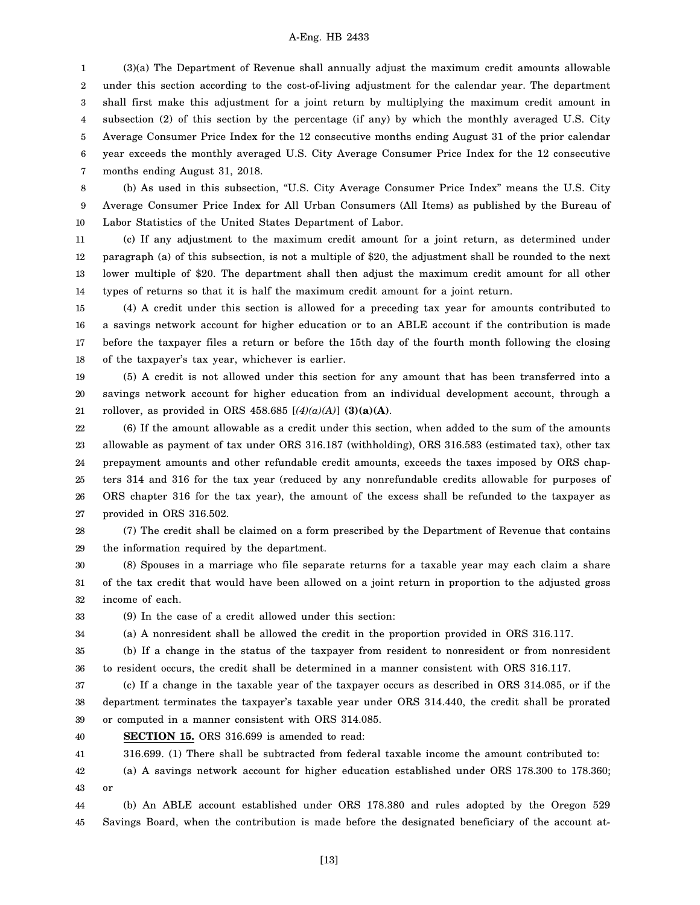1 2 3 4 5 6 7 (3)(a) The Department of Revenue shall annually adjust the maximum credit amounts allowable under this section according to the cost-of-living adjustment for the calendar year. The department shall first make this adjustment for a joint return by multiplying the maximum credit amount in subsection (2) of this section by the percentage (if any) by which the monthly averaged U.S. City Average Consumer Price Index for the 12 consecutive months ending August 31 of the prior calendar year exceeds the monthly averaged U.S. City Average Consumer Price Index for the 12 consecutive months ending August 31, 2018.

8 9 10 (b) As used in this subsection, "U.S. City Average Consumer Price Index" means the U.S. City Average Consumer Price Index for All Urban Consumers (All Items) as published by the Bureau of Labor Statistics of the United States Department of Labor.

11 12 13 14 (c) If any adjustment to the maximum credit amount for a joint return, as determined under paragraph (a) of this subsection, is not a multiple of \$20, the adjustment shall be rounded to the next lower multiple of \$20. The department shall then adjust the maximum credit amount for all other types of returns so that it is half the maximum credit amount for a joint return.

15 16 17 18 (4) A credit under this section is allowed for a preceding tax year for amounts contributed to a savings network account for higher education or to an ABLE account if the contribution is made before the taxpayer files a return or before the 15th day of the fourth month following the closing of the taxpayer's tax year, whichever is earlier.

19 20 21 (5) A credit is not allowed under this section for any amount that has been transferred into a savings network account for higher education from an individual development account, through a rollover, as provided in ORS 458.685  $[(4)(a)(A)]$  (3)(a)(A).

22 23 24 25 26 27 (6) If the amount allowable as a credit under this section, when added to the sum of the amounts allowable as payment of tax under ORS 316.187 (withholding), ORS 316.583 (estimated tax), other tax prepayment amounts and other refundable credit amounts, exceeds the taxes imposed by ORS chapters 314 and 316 for the tax year (reduced by any nonrefundable credits allowable for purposes of ORS chapter 316 for the tax year), the amount of the excess shall be refunded to the taxpayer as provided in ORS 316.502.

28 29 (7) The credit shall be claimed on a form prescribed by the Department of Revenue that contains the information required by the department.

30 31 32 (8) Spouses in a marriage who file separate returns for a taxable year may each claim a share of the tax credit that would have been allowed on a joint return in proportion to the adjusted gross income of each.

33 (9) In the case of a credit allowed under this section:

34 (a) A nonresident shall be allowed the credit in the proportion provided in ORS 316.117.

35 36 (b) If a change in the status of the taxpayer from resident to nonresident or from nonresident to resident occurs, the credit shall be determined in a manner consistent with ORS 316.117.

37 38 39 (c) If a change in the taxable year of the taxpayer occurs as described in ORS 314.085, or if the department terminates the taxpayer's taxable year under ORS 314.440, the credit shall be prorated or computed in a manner consistent with ORS 314.085.

40 **SECTION 15.** ORS 316.699 is amended to read:

41 316.699. (1) There shall be subtracted from federal taxable income the amount contributed to:

42 43 (a) A savings network account for higher education established under ORS 178.300 to 178.360; or

44 45 (b) An ABLE account established under ORS 178.380 and rules adopted by the Oregon 529 Savings Board, when the contribution is made before the designated beneficiary of the account at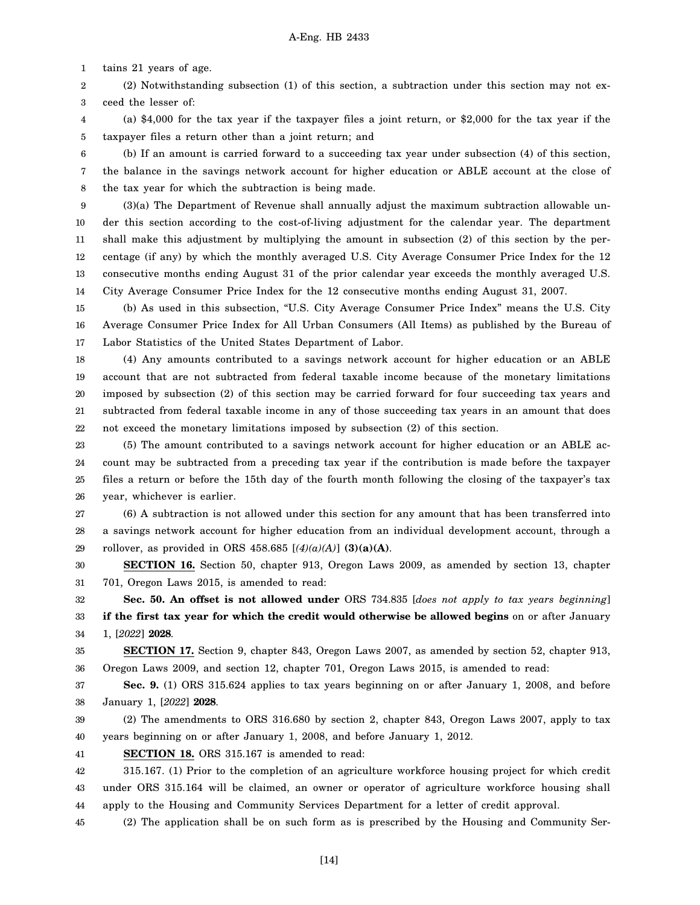1 tains 21 years of age.

2 3 (2) Notwithstanding subsection (1) of this section, a subtraction under this section may not exceed the lesser of:

4 5 (a) \$4,000 for the tax year if the taxpayer files a joint return, or \$2,000 for the tax year if the taxpayer files a return other than a joint return; and

6 7 8 (b) If an amount is carried forward to a succeeding tax year under subsection (4) of this section, the balance in the savings network account for higher education or ABLE account at the close of the tax year for which the subtraction is being made.

9 10 11 12 13 14 (3)(a) The Department of Revenue shall annually adjust the maximum subtraction allowable under this section according to the cost-of-living adjustment for the calendar year. The department shall make this adjustment by multiplying the amount in subsection (2) of this section by the percentage (if any) by which the monthly averaged U.S. City Average Consumer Price Index for the 12 consecutive months ending August 31 of the prior calendar year exceeds the monthly averaged U.S. City Average Consumer Price Index for the 12 consecutive months ending August 31, 2007.

15 16 17 (b) As used in this subsection, "U.S. City Average Consumer Price Index" means the U.S. City Average Consumer Price Index for All Urban Consumers (All Items) as published by the Bureau of Labor Statistics of the United States Department of Labor.

18 19 20 21 22 (4) Any amounts contributed to a savings network account for higher education or an ABLE account that are not subtracted from federal taxable income because of the monetary limitations imposed by subsection (2) of this section may be carried forward for four succeeding tax years and subtracted from federal taxable income in any of those succeeding tax years in an amount that does not exceed the monetary limitations imposed by subsection (2) of this section.

23 24 25 26 (5) The amount contributed to a savings network account for higher education or an ABLE account may be subtracted from a preceding tax year if the contribution is made before the taxpayer files a return or before the 15th day of the fourth month following the closing of the taxpayer's tax year, whichever is earlier.

27 28 29 (6) A subtraction is not allowed under this section for any amount that has been transferred into a savings network account for higher education from an individual development account, through a rollover, as provided in ORS 458.685  $[(4)(a)(A)]$  (3)(a)(A).

30 31 **SECTION 16.** Section 50, chapter 913, Oregon Laws 2009, as amended by section 13, chapter 701, Oregon Laws 2015, is amended to read:

32 33 34 **Sec. 50. An offset is not allowed under** ORS 734.835 [*does not apply to tax years beginning*] **if the first tax year for which the credit would otherwise be allowed begins** on or after January 1, [*2022*] **2028**.

35 36 **SECTION 17.** Section 9, chapter 843, Oregon Laws 2007, as amended by section 52, chapter 913, Oregon Laws 2009, and section 12, chapter 701, Oregon Laws 2015, is amended to read:

37 38 **Sec. 9.** (1) ORS 315.624 applies to tax years beginning on or after January 1, 2008, and before January 1, [*2022*] **2028**.

39 40 (2) The amendments to ORS 316.680 by section 2, chapter 843, Oregon Laws 2007, apply to tax years beginning on or after January 1, 2008, and before January 1, 2012.

41 **SECTION 18.** ORS 315.167 is amended to read:

42 43 44 315.167. (1) Prior to the completion of an agriculture workforce housing project for which credit under ORS 315.164 will be claimed, an owner or operator of agriculture workforce housing shall apply to the Housing and Community Services Department for a letter of credit approval.

45 (2) The application shall be on such form as is prescribed by the Housing and Community Ser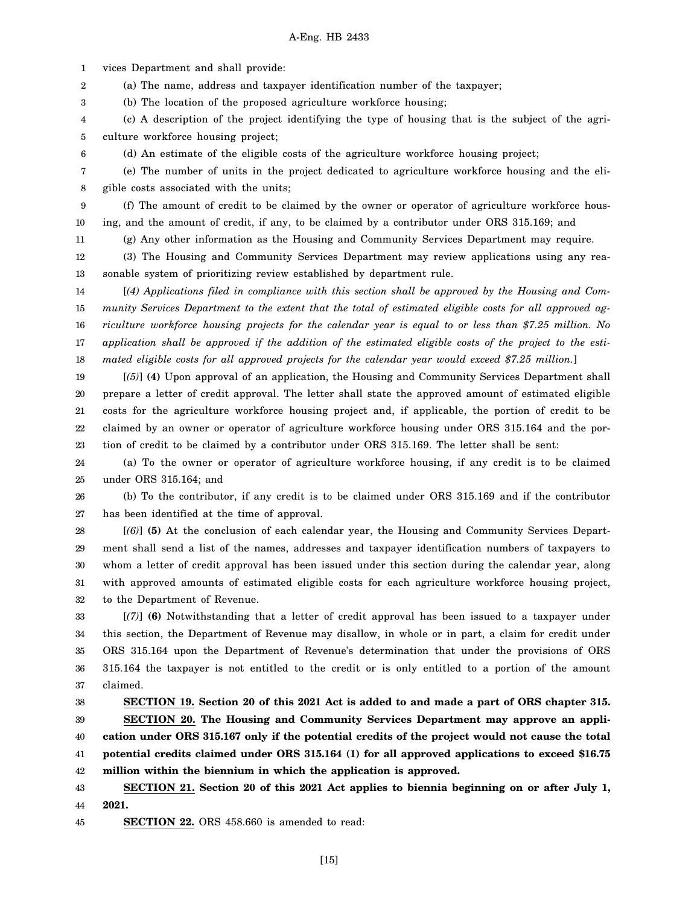1 vices Department and shall provide:

6

2 (a) The name, address and taxpayer identification number of the taxpayer;

3 (b) The location of the proposed agriculture workforce housing;

4 5 (c) A description of the project identifying the type of housing that is the subject of the agriculture workforce housing project;

(d) An estimate of the eligible costs of the agriculture workforce housing project;

7 8 (e) The number of units in the project dedicated to agriculture workforce housing and the eligible costs associated with the units;

9 10 (f) The amount of credit to be claimed by the owner or operator of agriculture workforce housing, and the amount of credit, if any, to be claimed by a contributor under ORS 315.169; and

11 (g) Any other information as the Housing and Community Services Department may require.

12 13 (3) The Housing and Community Services Department may review applications using any reasonable system of prioritizing review established by department rule.

14 15 16 17 18 [*(4) Applications filed in compliance with this section shall be approved by the Housing and Community Services Department to the extent that the total of estimated eligible costs for all approved agriculture workforce housing projects for the calendar year is equal to or less than \$7.25 million. No application shall be approved if the addition of the estimated eligible costs of the project to the estimated eligible costs for all approved projects for the calendar year would exceed \$7.25 million.*]

19 20 21 22 23 [*(5)*] **(4)** Upon approval of an application, the Housing and Community Services Department shall prepare a letter of credit approval. The letter shall state the approved amount of estimated eligible costs for the agriculture workforce housing project and, if applicable, the portion of credit to be claimed by an owner or operator of agriculture workforce housing under ORS 315.164 and the portion of credit to be claimed by a contributor under ORS 315.169. The letter shall be sent:

24 25 (a) To the owner or operator of agriculture workforce housing, if any credit is to be claimed under ORS 315.164; and

26 27 (b) To the contributor, if any credit is to be claimed under ORS 315.169 and if the contributor has been identified at the time of approval.

28 29 30 31 32 [*(6)*] **(5)** At the conclusion of each calendar year, the Housing and Community Services Department shall send a list of the names, addresses and taxpayer identification numbers of taxpayers to whom a letter of credit approval has been issued under this section during the calendar year, along with approved amounts of estimated eligible costs for each agriculture workforce housing project, to the Department of Revenue.

33 34 35 36 37 [*(7)*] **(6)** Notwithstanding that a letter of credit approval has been issued to a taxpayer under this section, the Department of Revenue may disallow, in whole or in part, a claim for credit under ORS 315.164 upon the Department of Revenue's determination that under the provisions of ORS 315.164 the taxpayer is not entitled to the credit or is only entitled to a portion of the amount claimed.

38 39 40 41 42 **SECTION 19. Section 20 of this 2021 Act is added to and made a part of ORS chapter 315. SECTION 20. The Housing and Community Services Department may approve an application under ORS 315.167 only if the potential credits of the project would not cause the total potential credits claimed under ORS 315.164 (1) for all approved applications to exceed \$16.75 million within the biennium in which the application is approved.**

43 44 **SECTION 21. Section 20 of this 2021 Act applies to biennia beginning on or after July 1, 2021.**

45 **SECTION 22.** ORS 458.660 is amended to read: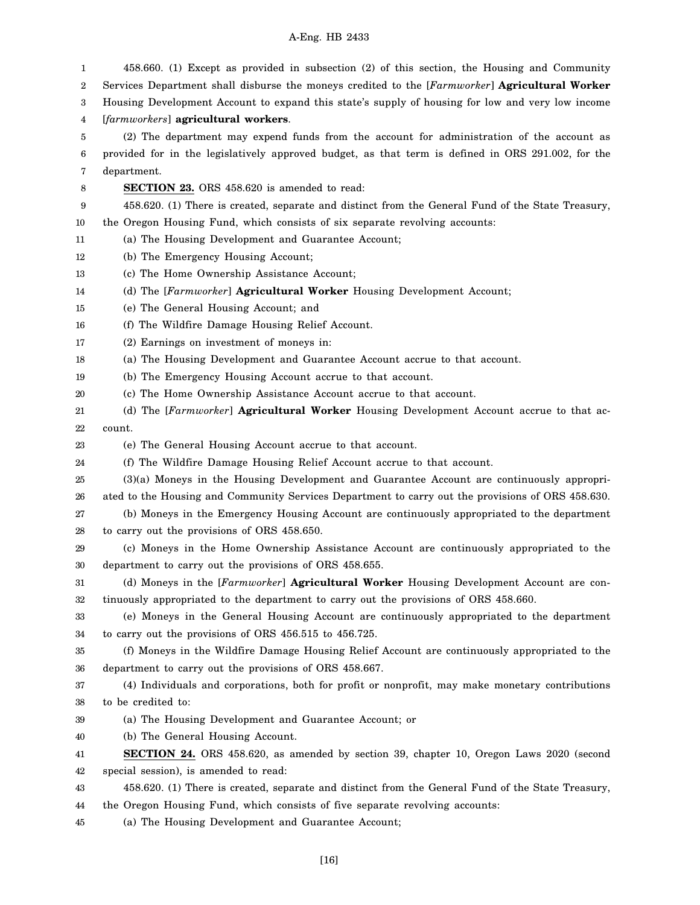| 1  | 458.660. (1) Except as provided in subsection (2) of this section, the Housing and Community       |  |  |  |
|----|----------------------------------------------------------------------------------------------------|--|--|--|
| 2  | Services Department shall disburse the moneys credited to the [Farmworker] Agricultural Worker     |  |  |  |
| 3  | Housing Development Account to expand this state's supply of housing for low and very low income   |  |  |  |
| 4  | [farmworkers] agricultural workers.                                                                |  |  |  |
| 5  | (2) The department may expend funds from the account for administration of the account as          |  |  |  |
| 6  | provided for in the legislatively approved budget, as that term is defined in ORS 291.002, for the |  |  |  |
| 7  | department.                                                                                        |  |  |  |
| 8  | <b>SECTION 23.</b> ORS 458.620 is amended to read:                                                 |  |  |  |
| 9  | 458.620. (1) There is created, separate and distinct from the General Fund of the State Treasury,  |  |  |  |
| 10 | the Oregon Housing Fund, which consists of six separate revolving accounts:                        |  |  |  |
| 11 | (a) The Housing Development and Guarantee Account;                                                 |  |  |  |
| 12 | (b) The Emergency Housing Account;                                                                 |  |  |  |
| 13 | (c) The Home Ownership Assistance Account;                                                         |  |  |  |
| 14 | (d) The [Farmworker] Agricultural Worker Housing Development Account;                              |  |  |  |
| 15 | (e) The General Housing Account; and                                                               |  |  |  |
| 16 | (f) The Wildfire Damage Housing Relief Account.                                                    |  |  |  |
| 17 | (2) Earnings on investment of moneys in:                                                           |  |  |  |
| 18 | (a) The Housing Development and Guarantee Account accrue to that account.                          |  |  |  |
| 19 | (b) The Emergency Housing Account accrue to that account.                                          |  |  |  |
| 20 | (c) The Home Ownership Assistance Account accrue to that account.                                  |  |  |  |
| 21 | (d) The [Farmworker] Agricultural Worker Housing Development Account accrue to that ac-            |  |  |  |
| 22 | count.                                                                                             |  |  |  |
| 23 | (e) The General Housing Account accrue to that account.                                            |  |  |  |
| 24 | (f) The Wildfire Damage Housing Relief Account accrue to that account.                             |  |  |  |
| 25 | (3)(a) Moneys in the Housing Development and Guarantee Account are continuously appropri-          |  |  |  |
| 26 | ated to the Housing and Community Services Department to carry out the provisions of ORS 458.630.  |  |  |  |
| 27 | (b) Moneys in the Emergency Housing Account are continuously appropriated to the department        |  |  |  |
| 28 | to carry out the provisions of ORS 458.650.                                                        |  |  |  |
| 29 | (c) Moneys in the Home Ownership Assistance Account are continuously appropriated to the           |  |  |  |
| 30 | department to carry out the provisions of ORS 458.655.                                             |  |  |  |
| 31 | (d) Moneys in the [Farmworker] Agricultural Worker Housing Development Account are con-            |  |  |  |
| 32 | tinuously appropriated to the department to carry out the provisions of ORS 458.660.               |  |  |  |
| 33 | (e) Moneys in the General Housing Account are continuously appropriated to the department          |  |  |  |
| 34 | to carry out the provisions of ORS 456.515 to 456.725.                                             |  |  |  |
| 35 | (f) Moneys in the Wildfire Damage Housing Relief Account are continuously appropriated to the      |  |  |  |
| 36 | department to carry out the provisions of ORS 458.667.                                             |  |  |  |
| 37 | (4) Individuals and corporations, both for profit or nonprofit, may make monetary contributions    |  |  |  |
| 38 | to be credited to:                                                                                 |  |  |  |
| 39 | (a) The Housing Development and Guarantee Account; or                                              |  |  |  |
| 40 | (b) The General Housing Account.                                                                   |  |  |  |
| 41 | <b>SECTION 24.</b> ORS 458.620, as amended by section 39, chapter 10, Oregon Laws 2020 (second     |  |  |  |
| 42 | special session), is amended to read:                                                              |  |  |  |
| 43 | 458.620. (1) There is created, separate and distinct from the General Fund of the State Treasury,  |  |  |  |
| 44 | the Oregon Housing Fund, which consists of five separate revolving accounts:                       |  |  |  |
|    |                                                                                                    |  |  |  |

45 (a) The Housing Development and Guarantee Account;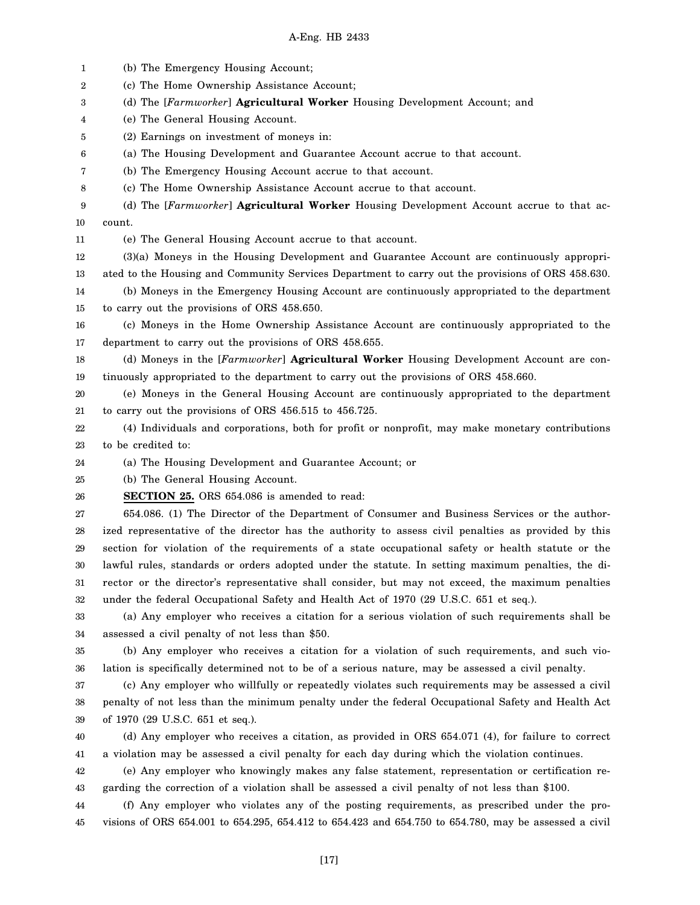1 2 3 4 5 6 7 8 9 10 11 12 13 14 15 16 17 18 19 20 21 22 23 24 25 26 27 28 29 30 31 32 33 34 35 36 37 38 39 40 41 42 43 44 (b) The Emergency Housing Account; (c) The Home Ownership Assistance Account; (d) The [*Farmworker*] **Agricultural Worker** Housing Development Account; and (e) The General Housing Account. (2) Earnings on investment of moneys in: (a) The Housing Development and Guarantee Account accrue to that account. (b) The Emergency Housing Account accrue to that account. (c) The Home Ownership Assistance Account accrue to that account. (d) The [*Farmworker*] **Agricultural Worker** Housing Development Account accrue to that account. (e) The General Housing Account accrue to that account. (3)(a) Moneys in the Housing Development and Guarantee Account are continuously appropriated to the Housing and Community Services Department to carry out the provisions of ORS 458.630. (b) Moneys in the Emergency Housing Account are continuously appropriated to the department to carry out the provisions of ORS 458.650. (c) Moneys in the Home Ownership Assistance Account are continuously appropriated to the department to carry out the provisions of ORS 458.655. (d) Moneys in the [*Farmworker*] **Agricultural Worker** Housing Development Account are continuously appropriated to the department to carry out the provisions of ORS 458.660. (e) Moneys in the General Housing Account are continuously appropriated to the department to carry out the provisions of ORS 456.515 to 456.725. (4) Individuals and corporations, both for profit or nonprofit, may make monetary contributions to be credited to: (a) The Housing Development and Guarantee Account; or (b) The General Housing Account. **SECTION 25.** ORS 654.086 is amended to read: 654.086. (1) The Director of the Department of Consumer and Business Services or the authorized representative of the director has the authority to assess civil penalties as provided by this section for violation of the requirements of a state occupational safety or health statute or the lawful rules, standards or orders adopted under the statute. In setting maximum penalties, the director or the director's representative shall consider, but may not exceed, the maximum penalties under the federal Occupational Safety and Health Act of 1970 (29 U.S.C. 651 et seq.). (a) Any employer who receives a citation for a serious violation of such requirements shall be assessed a civil penalty of not less than \$50. (b) Any employer who receives a citation for a violation of such requirements, and such violation is specifically determined not to be of a serious nature, may be assessed a civil penalty. (c) Any employer who willfully or repeatedly violates such requirements may be assessed a civil penalty of not less than the minimum penalty under the federal Occupational Safety and Health Act of 1970 (29 U.S.C. 651 et seq.). (d) Any employer who receives a citation, as provided in ORS 654.071 (4), for failure to correct a violation may be assessed a civil penalty for each day during which the violation continues. (e) Any employer who knowingly makes any false statement, representation or certification regarding the correction of a violation shall be assessed a civil penalty of not less than \$100. (f) Any employer who violates any of the posting requirements, as prescribed under the pro-

45 visions of ORS 654.001 to 654.295, 654.412 to 654.423 and 654.750 to 654.780, may be assessed a civil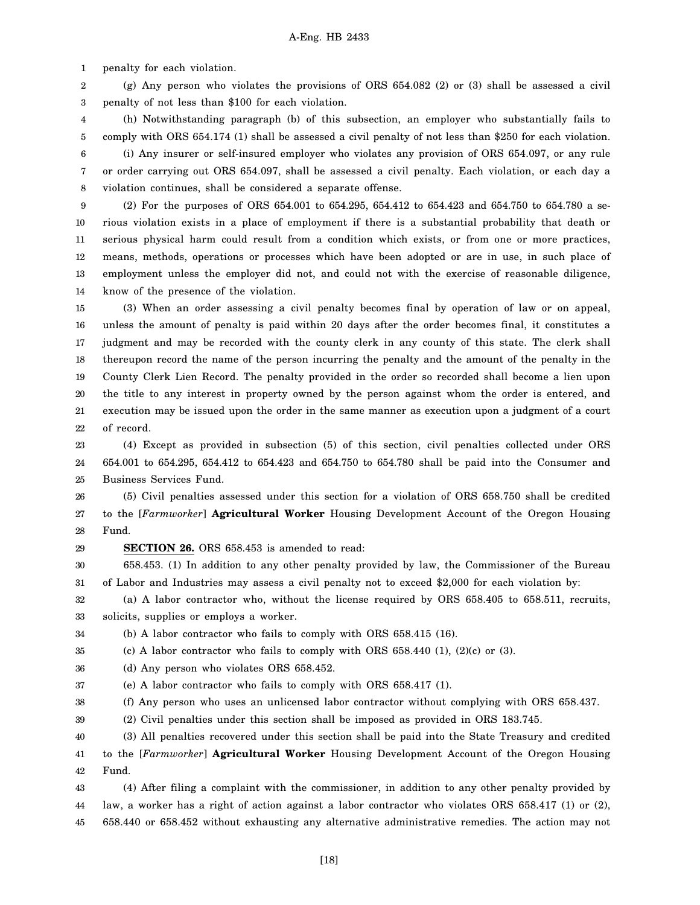1 penalty for each violation.

2 3 (g) Any person who violates the provisions of ORS 654.082 (2) or (3) shall be assessed a civil penalty of not less than \$100 for each violation.

4 5 6 (h) Notwithstanding paragraph (b) of this subsection, an employer who substantially fails to comply with ORS 654.174 (1) shall be assessed a civil penalty of not less than \$250 for each violation. (i) Any insurer or self-insured employer who violates any provision of ORS 654.097, or any rule

7 8 or order carrying out ORS 654.097, shall be assessed a civil penalty. Each violation, or each day a violation continues, shall be considered a separate offense.

9 10 11 12 13 14 (2) For the purposes of ORS 654.001 to 654.295, 654.412 to 654.423 and 654.750 to 654.780 a serious violation exists in a place of employment if there is a substantial probability that death or serious physical harm could result from a condition which exists, or from one or more practices, means, methods, operations or processes which have been adopted or are in use, in such place of employment unless the employer did not, and could not with the exercise of reasonable diligence, know of the presence of the violation.

15 16 17 18 19 20 21 22 (3) When an order assessing a civil penalty becomes final by operation of law or on appeal, unless the amount of penalty is paid within 20 days after the order becomes final, it constitutes a judgment and may be recorded with the county clerk in any county of this state. The clerk shall thereupon record the name of the person incurring the penalty and the amount of the penalty in the County Clerk Lien Record. The penalty provided in the order so recorded shall become a lien upon the title to any interest in property owned by the person against whom the order is entered, and execution may be issued upon the order in the same manner as execution upon a judgment of a court of record.

23 24 25 (4) Except as provided in subsection (5) of this section, civil penalties collected under ORS 654.001 to 654.295, 654.412 to 654.423 and 654.750 to 654.780 shall be paid into the Consumer and Business Services Fund.

26 27 28 (5) Civil penalties assessed under this section for a violation of ORS 658.750 shall be credited to the [*Farmworker*] **Agricultural Worker** Housing Development Account of the Oregon Housing Fund.

29 **SECTION 26.** ORS 658.453 is amended to read:

30 31 658.453. (1) In addition to any other penalty provided by law, the Commissioner of the Bureau of Labor and Industries may assess a civil penalty not to exceed \$2,000 for each violation by:

32 33 (a) A labor contractor who, without the license required by ORS 658.405 to 658.511, recruits, solicits, supplies or employs a worker.

34 (b) A labor contractor who fails to comply with ORS 658.415 (16).

35 (c) A labor contractor who fails to comply with ORS  $658.440$  (1), (2)(c) or (3).

36 (d) Any person who violates ORS 658.452.

37 (e) A labor contractor who fails to comply with ORS 658.417 (1).

38 (f) Any person who uses an unlicensed labor contractor without complying with ORS 658.437.

39 (2) Civil penalties under this section shall be imposed as provided in ORS 183.745.

40 41 42 (3) All penalties recovered under this section shall be paid into the State Treasury and credited to the [*Farmworker*] **Agricultural Worker** Housing Development Account of the Oregon Housing Fund.

43 44 45 (4) After filing a complaint with the commissioner, in addition to any other penalty provided by law, a worker has a right of action against a labor contractor who violates ORS 658.417 (1) or (2), 658.440 or 658.452 without exhausting any alternative administrative remedies. The action may not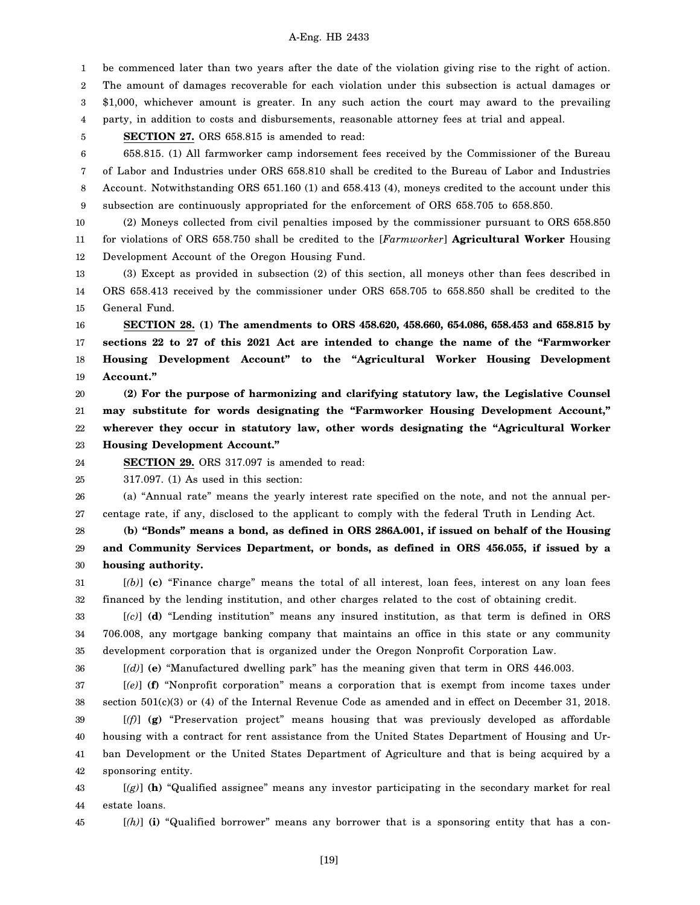1 be commenced later than two years after the date of the violation giving rise to the right of action.

2 3 The amount of damages recoverable for each violation under this subsection is actual damages or \$1,000, whichever amount is greater. In any such action the court may award to the prevailing

4 party, in addition to costs and disbursements, reasonable attorney fees at trial and appeal.

**SECTION 27.** ORS 658.815 is amended to read:

5

6 7 8 9 658.815. (1) All farmworker camp indorsement fees received by the Commissioner of the Bureau of Labor and Industries under ORS 658.810 shall be credited to the Bureau of Labor and Industries Account. Notwithstanding ORS 651.160 (1) and 658.413 (4), moneys credited to the account under this subsection are continuously appropriated for the enforcement of ORS 658.705 to 658.850.

10 11 12 (2) Moneys collected from civil penalties imposed by the commissioner pursuant to ORS 658.850 for violations of ORS 658.750 shall be credited to the [*Farmworker*] **Agricultural Worker** Housing Development Account of the Oregon Housing Fund.

13 14 15 (3) Except as provided in subsection (2) of this section, all moneys other than fees described in ORS 658.413 received by the commissioner under ORS 658.705 to 658.850 shall be credited to the General Fund.

16 17 18 19 **SECTION 28. (1) The amendments to ORS 458.620, 458.660, 654.086, 658.453 and 658.815 by sections 22 to 27 of this 2021 Act are intended to change the name of the "Farmworker Housing Development Account" to the "Agricultural Worker Housing Development Account."**

20 21 22 23 **(2) For the purpose of harmonizing and clarifying statutory law, the Legislative Counsel may substitute for words designating the "Farmworker Housing Development Account," wherever they occur in statutory law, other words designating the "Agricultural Worker Housing Development Account."**

24 **SECTION 29.** ORS 317.097 is amended to read:

25 317.097. (1) As used in this section:

26 27 (a) "Annual rate" means the yearly interest rate specified on the note, and not the annual percentage rate, if any, disclosed to the applicant to comply with the federal Truth in Lending Act.

28 29 30 **(b) "Bonds" means a bond, as defined in ORS 286A.001, if issued on behalf of the Housing and Community Services Department, or bonds, as defined in ORS 456.055, if issued by a housing authority.**

31 32 [*(b)*] **(c)** "Finance charge" means the total of all interest, loan fees, interest on any loan fees financed by the lending institution, and other charges related to the cost of obtaining credit.

33 34 35 [*(c)*] **(d)** "Lending institution" means any insured institution, as that term is defined in ORS 706.008, any mortgage banking company that maintains an office in this state or any community development corporation that is organized under the Oregon Nonprofit Corporation Law.

36

[*(d)*] **(e)** "Manufactured dwelling park" has the meaning given that term in ORS 446.003.

37 38 39 40 41 42 [*(e)*] **(f)** "Nonprofit corporation" means a corporation that is exempt from income taxes under section 501(c)(3) or (4) of the Internal Revenue Code as amended and in effect on December 31, 2018. [*(f)*] **(g)** "Preservation project" means housing that was previously developed as affordable housing with a contract for rent assistance from the United States Department of Housing and Urban Development or the United States Department of Agriculture and that is being acquired by a sponsoring entity.

43 44 [*(g)*] **(h)** "Qualified assignee" means any investor participating in the secondary market for real estate loans.

45

[*(h)*] **(i)** "Qualified borrower" means any borrower that is a sponsoring entity that has a con-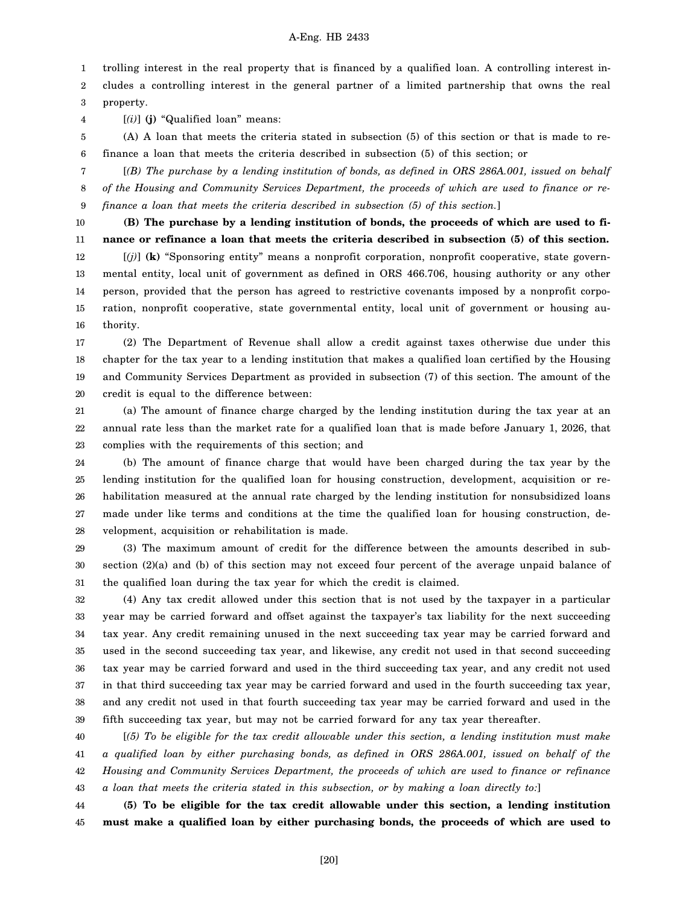1 trolling interest in the real property that is financed by a qualified loan. A controlling interest in-

2 3 cludes a controlling interest in the general partner of a limited partnership that owns the real property.

4 [*(i)*] **(j)** "Qualified loan" means:

5 6 (A) A loan that meets the criteria stated in subsection (5) of this section or that is made to refinance a loan that meets the criteria described in subsection (5) of this section; or

7 8 9 [*(B) The purchase by a lending institution of bonds, as defined in ORS 286A.001, issued on behalf of the Housing and Community Services Department, the proceeds of which are used to finance or refinance a loan that meets the criteria described in subsection (5) of this section.*]

10 11 12 13 14 15 16 **(B) The purchase by a lending institution of bonds, the proceeds of which are used to finance or refinance a loan that meets the criteria described in subsection (5) of this section.** [*(j)*] **(k)** "Sponsoring entity" means a nonprofit corporation, nonprofit cooperative, state governmental entity, local unit of government as defined in ORS 466.706, housing authority or any other person, provided that the person has agreed to restrictive covenants imposed by a nonprofit corporation, nonprofit cooperative, state governmental entity, local unit of government or housing authority.

17 18 19 20 (2) The Department of Revenue shall allow a credit against taxes otherwise due under this chapter for the tax year to a lending institution that makes a qualified loan certified by the Housing and Community Services Department as provided in subsection (7) of this section. The amount of the credit is equal to the difference between:

21 22 23 (a) The amount of finance charge charged by the lending institution during the tax year at an annual rate less than the market rate for a qualified loan that is made before January 1, 2026, that complies with the requirements of this section; and

24 25 26 27 28 (b) The amount of finance charge that would have been charged during the tax year by the lending institution for the qualified loan for housing construction, development, acquisition or rehabilitation measured at the annual rate charged by the lending institution for nonsubsidized loans made under like terms and conditions at the time the qualified loan for housing construction, development, acquisition or rehabilitation is made.

29 30 31 (3) The maximum amount of credit for the difference between the amounts described in subsection (2)(a) and (b) of this section may not exceed four percent of the average unpaid balance of the qualified loan during the tax year for which the credit is claimed.

32 33 34 35 36 37 38 39 (4) Any tax credit allowed under this section that is not used by the taxpayer in a particular year may be carried forward and offset against the taxpayer's tax liability for the next succeeding tax year. Any credit remaining unused in the next succeeding tax year may be carried forward and used in the second succeeding tax year, and likewise, any credit not used in that second succeeding tax year may be carried forward and used in the third succeeding tax year, and any credit not used in that third succeeding tax year may be carried forward and used in the fourth succeeding tax year, and any credit not used in that fourth succeeding tax year may be carried forward and used in the fifth succeeding tax year, but may not be carried forward for any tax year thereafter.

40 41 42 43 [*(5) To be eligible for the tax credit allowable under this section, a lending institution must make a qualified loan by either purchasing bonds, as defined in ORS 286A.001, issued on behalf of the Housing and Community Services Department, the proceeds of which are used to finance or refinance a loan that meets the criteria stated in this subsection, or by making a loan directly to:*]

44 45 **(5) To be eligible for the tax credit allowable under this section, a lending institution must make a qualified loan by either purchasing bonds, the proceeds of which are used to**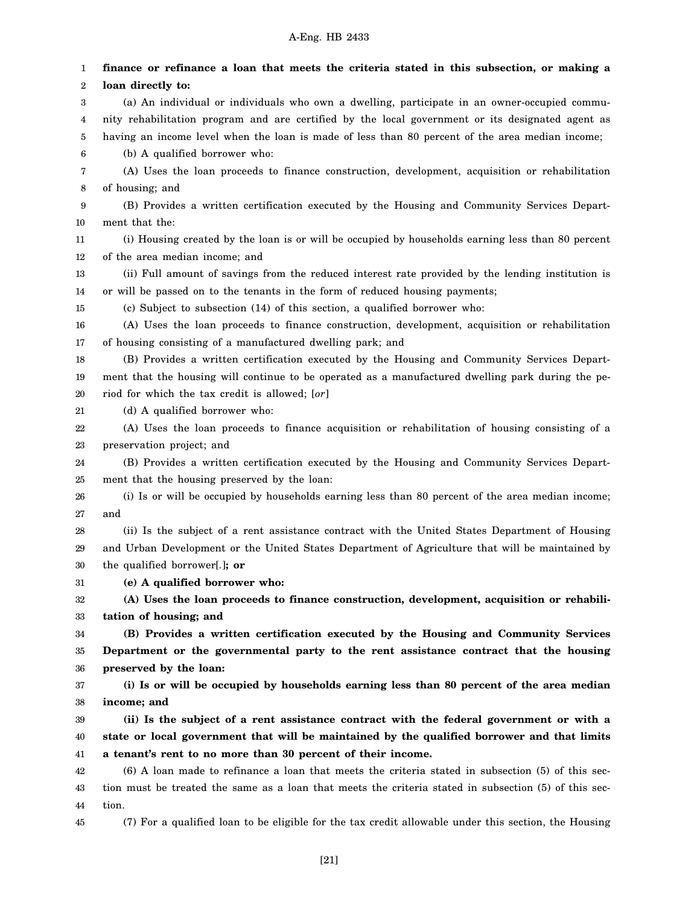1 2 3 4 5 6 7 8 9 10 11 12 13 14 15 16 17 18 19 20 21 22 23 24 25 26 27 28 29 30 31 32 33 34 35 36 37 38 39 40 41 42 43 44 **finance or refinance a loan that meets the criteria stated in this subsection, or making a loan directly to:** (a) An individual or individuals who own a dwelling, participate in an owner-occupied community rehabilitation program and are certified by the local government or its designated agent as having an income level when the loan is made of less than 80 percent of the area median income; (b) A qualified borrower who: (A) Uses the loan proceeds to finance construction, development, acquisition or rehabilitation of housing; and (B) Provides a written certification executed by the Housing and Community Services Department that the: (i) Housing created by the loan is or will be occupied by households earning less than 80 percent of the area median income; and (ii) Full amount of savings from the reduced interest rate provided by the lending institution is or will be passed on to the tenants in the form of reduced housing payments; (c) Subject to subsection (14) of this section, a qualified borrower who: (A) Uses the loan proceeds to finance construction, development, acquisition or rehabilitation of housing consisting of a manufactured dwelling park; and (B) Provides a written certification executed by the Housing and Community Services Department that the housing will continue to be operated as a manufactured dwelling park during the period for which the tax credit is allowed; [*or*] (d) A qualified borrower who: (A) Uses the loan proceeds to finance acquisition or rehabilitation of housing consisting of a preservation project; and (B) Provides a written certification executed by the Housing and Community Services Department that the housing preserved by the loan: (i) Is or will be occupied by households earning less than 80 percent of the area median income; and (ii) Is the subject of a rent assistance contract with the United States Department of Housing and Urban Development or the United States Department of Agriculture that will be maintained by the qualified borrower[*.*]**; or (e) A qualified borrower who: (A) Uses the loan proceeds to finance construction, development, acquisition or rehabilitation of housing; and (B) Provides a written certification executed by the Housing and Community Services Department or the governmental party to the rent assistance contract that the housing preserved by the loan: (i) Is or will be occupied by households earning less than 80 percent of the area median income; and (ii) Is the subject of a rent assistance contract with the federal government or with a state or local government that will be maintained by the qualified borrower and that limits a tenant's rent to no more than 30 percent of their income.** (6) A loan made to refinance a loan that meets the criteria stated in subsection (5) of this section must be treated the same as a loan that meets the criteria stated in subsection (5) of this section.

45 (7) For a qualified loan to be eligible for the tax credit allowable under this section, the Housing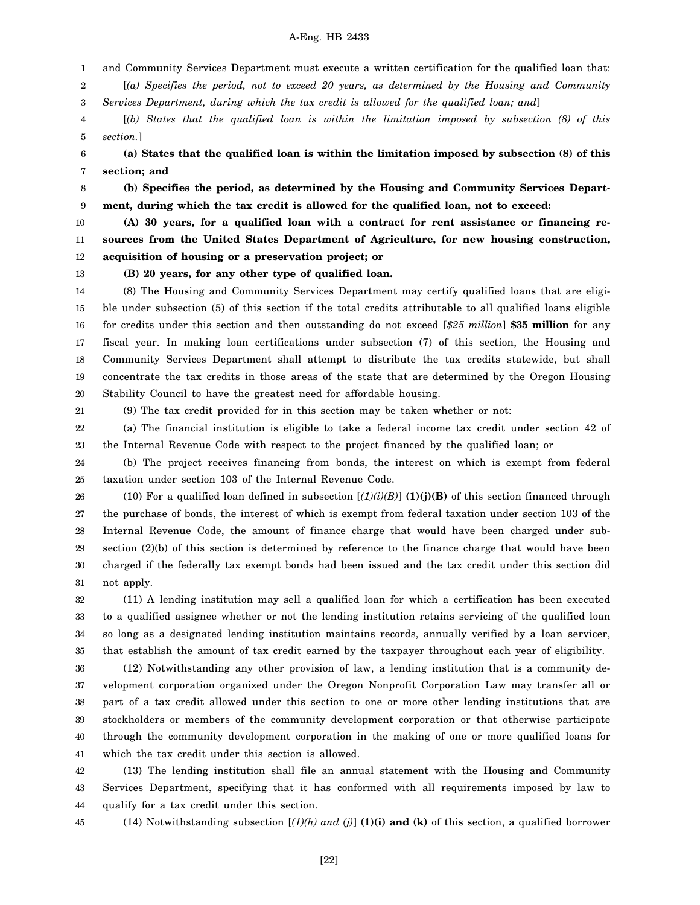1 and Community Services Department must execute a written certification for the qualified loan that:

2 3 [*(a) Specifies the period, not to exceed 20 years, as determined by the Housing and Community Services Department, during which the tax credit is allowed for the qualified loan; and*]

4 5 [*(b) States that the qualified loan is within the limitation imposed by subsection (8) of this section.*]

6 7 **(a) States that the qualified loan is within the limitation imposed by subsection (8) of this section; and**

8 9 **(b) Specifies the period, as determined by the Housing and Community Services Department, during which the tax credit is allowed for the qualified loan, not to exceed:**

10 11 12 **(A) 30 years, for a qualified loan with a contract for rent assistance or financing resources from the United States Department of Agriculture, for new housing construction, acquisition of housing or a preservation project; or**

13

**(B) 20 years, for any other type of qualified loan.**

14 15 16 17 18 19 20 (8) The Housing and Community Services Department may certify qualified loans that are eligible under subsection (5) of this section if the total credits attributable to all qualified loans eligible for credits under this section and then outstanding do not exceed [*\$25 million*] **\$35 million** for any fiscal year. In making loan certifications under subsection (7) of this section, the Housing and Community Services Department shall attempt to distribute the tax credits statewide, but shall concentrate the tax credits in those areas of the state that are determined by the Oregon Housing Stability Council to have the greatest need for affordable housing.

21

(9) The tax credit provided for in this section may be taken whether or not:

22 23 (a) The financial institution is eligible to take a federal income tax credit under section 42 of the Internal Revenue Code with respect to the project financed by the qualified loan; or

24 25 (b) The project receives financing from bonds, the interest on which is exempt from federal taxation under section 103 of the Internal Revenue Code.

26 27 28 29 30 31 (10) For a qualified loan defined in subsection  $[(1)(i)(B)]$  (1)(j)(B) of this section financed through the purchase of bonds, the interest of which is exempt from federal taxation under section 103 of the Internal Revenue Code, the amount of finance charge that would have been charged under subsection (2)(b) of this section is determined by reference to the finance charge that would have been charged if the federally tax exempt bonds had been issued and the tax credit under this section did not apply.

32 33 34 35 (11) A lending institution may sell a qualified loan for which a certification has been executed to a qualified assignee whether or not the lending institution retains servicing of the qualified loan so long as a designated lending institution maintains records, annually verified by a loan servicer, that establish the amount of tax credit earned by the taxpayer throughout each year of eligibility.

36 37 38 39 40 41 (12) Notwithstanding any other provision of law, a lending institution that is a community development corporation organized under the Oregon Nonprofit Corporation Law may transfer all or part of a tax credit allowed under this section to one or more other lending institutions that are stockholders or members of the community development corporation or that otherwise participate through the community development corporation in the making of one or more qualified loans for which the tax credit under this section is allowed.

42 43 44 (13) The lending institution shall file an annual statement with the Housing and Community Services Department, specifying that it has conformed with all requirements imposed by law to qualify for a tax credit under this section.

45

(14) Notwithstanding subsection  $[(1)(h)$  and  $(j)]$  (1)(i) and (k) of this section, a qualified borrower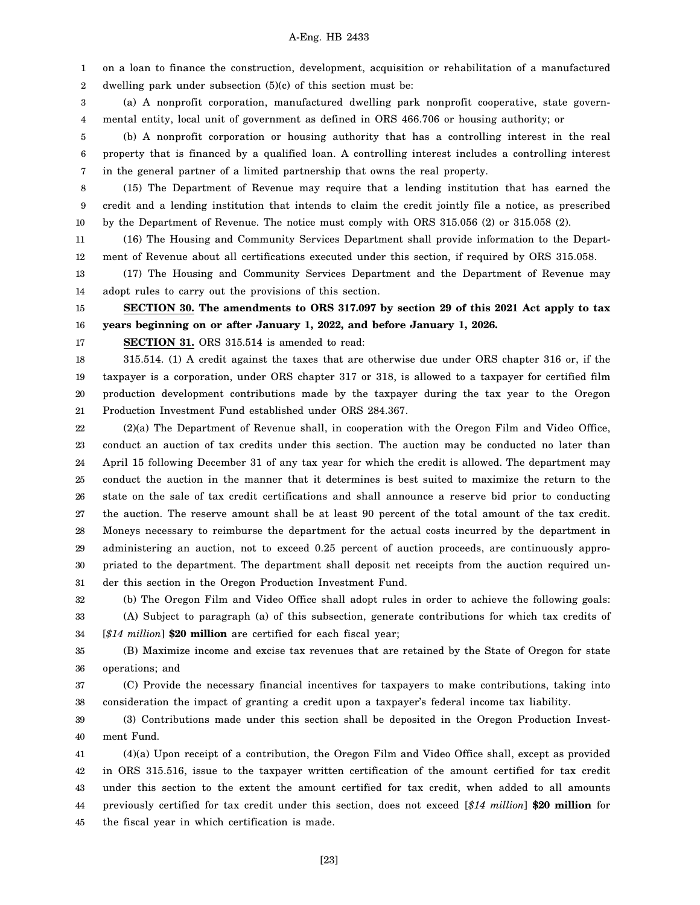1 2 on a loan to finance the construction, development, acquisition or rehabilitation of a manufactured dwelling park under subsection (5)(c) of this section must be:

3 4 (a) A nonprofit corporation, manufactured dwelling park nonprofit cooperative, state governmental entity, local unit of government as defined in ORS 466.706 or housing authority; or

5 6 7 (b) A nonprofit corporation or housing authority that has a controlling interest in the real property that is financed by a qualified loan. A controlling interest includes a controlling interest in the general partner of a limited partnership that owns the real property.

8 9 10 (15) The Department of Revenue may require that a lending institution that has earned the credit and a lending institution that intends to claim the credit jointly file a notice, as prescribed by the Department of Revenue. The notice must comply with ORS 315.056 (2) or 315.058 (2).

11 12 (16) The Housing and Community Services Department shall provide information to the Department of Revenue about all certifications executed under this section, if required by ORS 315.058.

13 14 (17) The Housing and Community Services Department and the Department of Revenue may adopt rules to carry out the provisions of this section.

15 16 **SECTION 30. The amendments to ORS 317.097 by section 29 of this 2021 Act apply to tax years beginning on or after January 1, 2022, and before January 1, 2026.**

17

#### **SECTION 31.** ORS 315.514 is amended to read:

18 19 20 21 315.514. (1) A credit against the taxes that are otherwise due under ORS chapter 316 or, if the taxpayer is a corporation, under ORS chapter 317 or 318, is allowed to a taxpayer for certified film production development contributions made by the taxpayer during the tax year to the Oregon Production Investment Fund established under ORS 284.367.

22 23 24 25 26 27 28 29 30 31 (2)(a) The Department of Revenue shall, in cooperation with the Oregon Film and Video Office, conduct an auction of tax credits under this section. The auction may be conducted no later than April 15 following December 31 of any tax year for which the credit is allowed. The department may conduct the auction in the manner that it determines is best suited to maximize the return to the state on the sale of tax credit certifications and shall announce a reserve bid prior to conducting the auction. The reserve amount shall be at least 90 percent of the total amount of the tax credit. Moneys necessary to reimburse the department for the actual costs incurred by the department in administering an auction, not to exceed 0.25 percent of auction proceeds, are continuously appropriated to the department. The department shall deposit net receipts from the auction required under this section in the Oregon Production Investment Fund.

32 33 34 (b) The Oregon Film and Video Office shall adopt rules in order to achieve the following goals: (A) Subject to paragraph (a) of this subsection, generate contributions for which tax credits of [*\$14 million*] **\$20 million** are certified for each fiscal year;

35 36 (B) Maximize income and excise tax revenues that are retained by the State of Oregon for state operations; and

37 38 (C) Provide the necessary financial incentives for taxpayers to make contributions, taking into consideration the impact of granting a credit upon a taxpayer's federal income tax liability.

39 40 (3) Contributions made under this section shall be deposited in the Oregon Production Investment Fund.

41 42 43 44 45 (4)(a) Upon receipt of a contribution, the Oregon Film and Video Office shall, except as provided in ORS 315.516, issue to the taxpayer written certification of the amount certified for tax credit under this section to the extent the amount certified for tax credit, when added to all amounts previously certified for tax credit under this section, does not exceed [*\$14 million*] **\$20 million** for the fiscal year in which certification is made.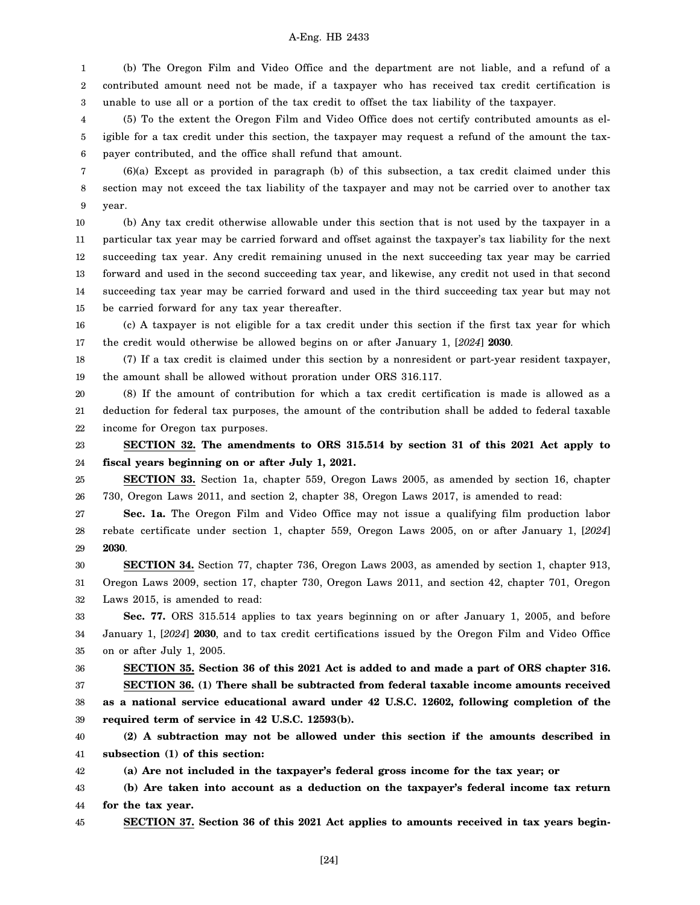1 2 3 (b) The Oregon Film and Video Office and the department are not liable, and a refund of a contributed amount need not be made, if a taxpayer who has received tax credit certification is unable to use all or a portion of the tax credit to offset the tax liability of the taxpayer.

4 5 6 (5) To the extent the Oregon Film and Video Office does not certify contributed amounts as eligible for a tax credit under this section, the taxpayer may request a refund of the amount the taxpayer contributed, and the office shall refund that amount.

7 8 9 (6)(a) Except as provided in paragraph (b) of this subsection, a tax credit claimed under this section may not exceed the tax liability of the taxpayer and may not be carried over to another tax year.

10 11 12 13 14 15 (b) Any tax credit otherwise allowable under this section that is not used by the taxpayer in a particular tax year may be carried forward and offset against the taxpayer's tax liability for the next succeeding tax year. Any credit remaining unused in the next succeeding tax year may be carried forward and used in the second succeeding tax year, and likewise, any credit not used in that second succeeding tax year may be carried forward and used in the third succeeding tax year but may not be carried forward for any tax year thereafter.

16 17 (c) A taxpayer is not eligible for a tax credit under this section if the first tax year for which the credit would otherwise be allowed begins on or after January 1, [*2024*] **2030**.

18 19 (7) If a tax credit is claimed under this section by a nonresident or part-year resident taxpayer, the amount shall be allowed without proration under ORS 316.117.

20 21 22 (8) If the amount of contribution for which a tax credit certification is made is allowed as a deduction for federal tax purposes, the amount of the contribution shall be added to federal taxable income for Oregon tax purposes.

23 24 **SECTION 32. The amendments to ORS 315.514 by section 31 of this 2021 Act apply to fiscal years beginning on or after July 1, 2021.**

25 26 **SECTION 33.** Section 1a, chapter 559, Oregon Laws 2005, as amended by section 16, chapter 730, Oregon Laws 2011, and section 2, chapter 38, Oregon Laws 2017, is amended to read:

27 28 29 **Sec. 1a.** The Oregon Film and Video Office may not issue a qualifying film production labor rebate certificate under section 1, chapter 559, Oregon Laws 2005, on or after January 1, [*2024*] **2030**.

30 31 32 **SECTION 34.** Section 77, chapter 736, Oregon Laws 2003, as amended by section 1, chapter 913, Oregon Laws 2009, section 17, chapter 730, Oregon Laws 2011, and section 42, chapter 701, Oregon Laws 2015, is amended to read:

33 34 35 **Sec. 77.** ORS 315.514 applies to tax years beginning on or after January 1, 2005, and before January 1, [*2024*] **2030**, and to tax credit certifications issued by the Oregon Film and Video Office on or after July 1, 2005.

36 37 38 **SECTION 35. Section 36 of this 2021 Act is added to and made a part of ORS chapter 316. SECTION 36. (1) There shall be subtracted from federal taxable income amounts received as a national service educational award under 42 U.S.C. 12602, following completion of the**

39 **required term of service in 42 U.S.C. 12593(b).**

40 41 **(2) A subtraction may not be allowed under this section if the amounts described in subsection (1) of this section:**

42 **(a) Are not included in the taxpayer's federal gross income for the tax year; or**

43 44 **(b) Are taken into account as a deduction on the taxpayer's federal income tax return for the tax year.**

45 **SECTION 37. Section 36 of this 2021 Act applies to amounts received in tax years begin-**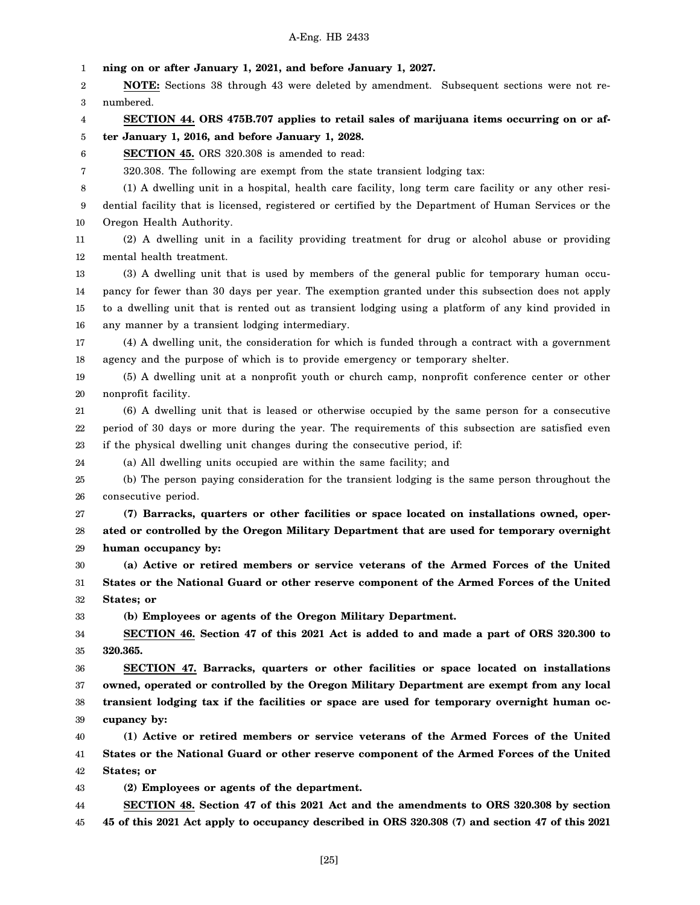1 2 3 4 5 6 7 8 9 10 11 12 13 14 15 16 17 18 19 20 21 22 23 24 25 26 27 28 29 30 31 32 33 34 35 36 37 38 39 40 41 42 43 44 45 **ning on or after January 1, 2021, and before January 1, 2027. NOTE:** Sections 38 through 43 were deleted by amendment. Subsequent sections were not renumbered. **SECTION 44. ORS 475B.707 applies to retail sales of marijuana items occurring on or after January 1, 2016, and before January 1, 2028. SECTION 45.** ORS 320.308 is amended to read: 320.308. The following are exempt from the state transient lodging tax: (1) A dwelling unit in a hospital, health care facility, long term care facility or any other residential facility that is licensed, registered or certified by the Department of Human Services or the Oregon Health Authority. (2) A dwelling unit in a facility providing treatment for drug or alcohol abuse or providing mental health treatment. (3) A dwelling unit that is used by members of the general public for temporary human occupancy for fewer than 30 days per year. The exemption granted under this subsection does not apply to a dwelling unit that is rented out as transient lodging using a platform of any kind provided in any manner by a transient lodging intermediary. (4) A dwelling unit, the consideration for which is funded through a contract with a government agency and the purpose of which is to provide emergency or temporary shelter. (5) A dwelling unit at a nonprofit youth or church camp, nonprofit conference center or other nonprofit facility. (6) A dwelling unit that is leased or otherwise occupied by the same person for a consecutive period of 30 days or more during the year. The requirements of this subsection are satisfied even if the physical dwelling unit changes during the consecutive period, if: (a) All dwelling units occupied are within the same facility; and (b) The person paying consideration for the transient lodging is the same person throughout the consecutive period. **(7) Barracks, quarters or other facilities or space located on installations owned, operated or controlled by the Oregon Military Department that are used for temporary overnight human occupancy by: (a) Active or retired members or service veterans of the Armed Forces of the United States or the National Guard or other reserve component of the Armed Forces of the United States; or (b) Employees or agents of the Oregon Military Department. SECTION 46. Section 47 of this 2021 Act is added to and made a part of ORS 320.300 to 320.365. SECTION 47. Barracks, quarters or other facilities or space located on installations owned, operated or controlled by the Oregon Military Department are exempt from any local transient lodging tax if the facilities or space are used for temporary overnight human occupancy by: (1) Active or retired members or service veterans of the Armed Forces of the United States or the National Guard or other reserve component of the Armed Forces of the United States; or (2) Employees or agents of the department. SECTION 48. Section 47 of this 2021 Act and the amendments to ORS 320.308 by section 45 of this 2021 Act apply to occupancy described in ORS 320.308 (7) and section 47 of this 2021**

[25]